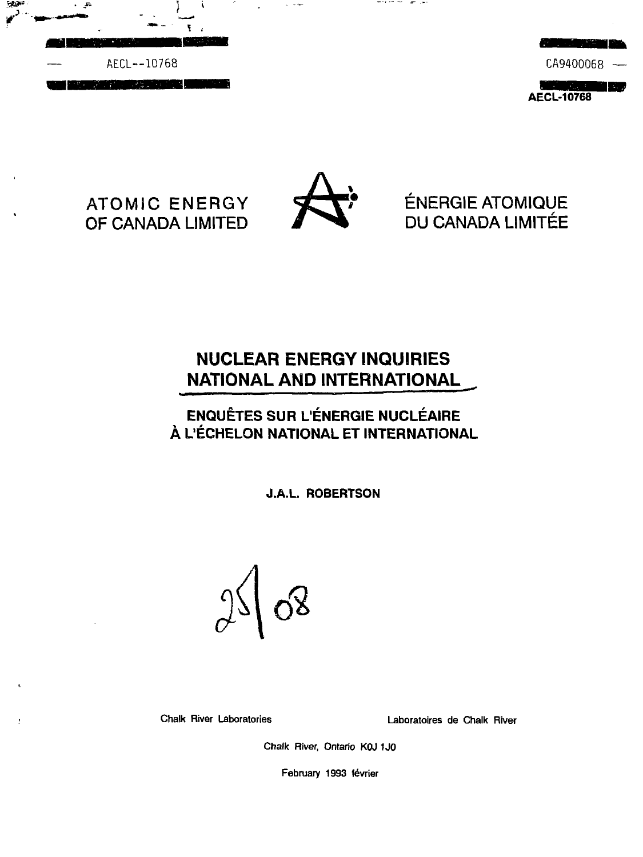



# ATOMIC ENERGY OF CANADA LIMITED



the first control of the second con-

ÉNERGIE ATOMIQUE DU CANADA LIMITEE

# **NUCLEAR ENERGY INQUIRIES NATIONAL AND INTERNATIONAL \_**

# **ENQUÊTES SUR L'ÉNERGIE NUCLÉAIRE A L'ECHELON NATIONAL ET INTERNATIONAL**

J.A.L. ROBERTSON

 $\delta$ 

Chalk River Laboratories Laboratoires de Chalk River

Chalk River, Ontario KOJ 1J0

February 1993 février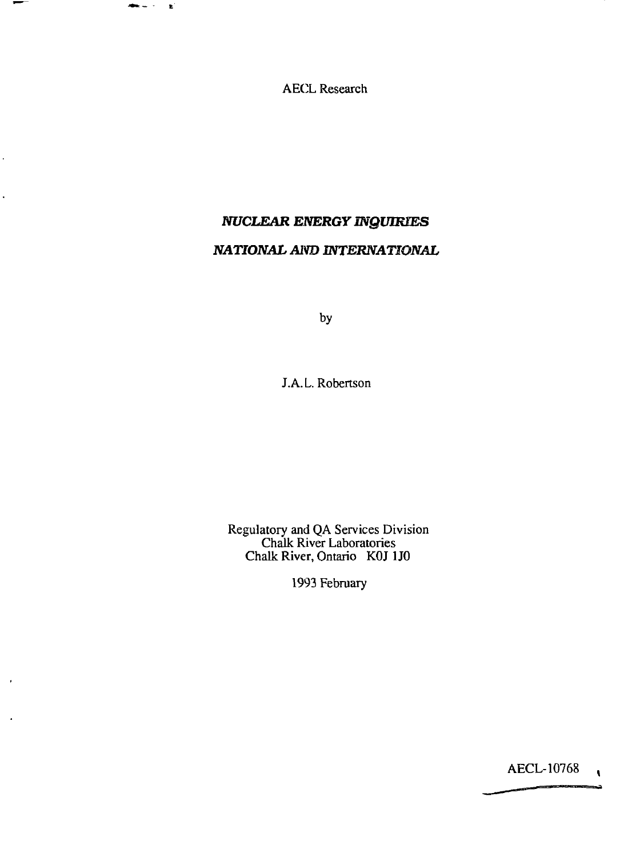AECL Research

nnes i gi

 $\ddot{\phantom{0}}$ 

 $\overline{a}$ 

# *NUCLEAR ENERGY INQUIRIES NATIONAL Aim INTERNATIONAL*

by

J.A.L. Robertson

Regulatory and QA Services Division Chalk River Laboratories Chalk River, Ontario KOJ 1J0

1993 February

AECL-10768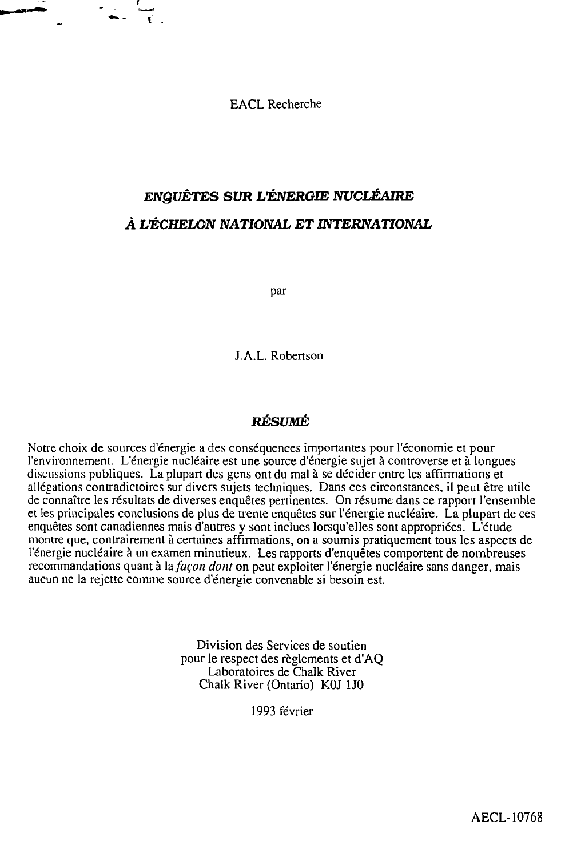EACL Recherche

# *ENQUETES SUR L'ENERGIE NUCLEAIRE A UECHELON NATIONAL ET INTERNATIONAL*

par

J.A.L. Robertson

# **RESUME**

Notre choix de sources d'energie a des consequences importantes pour l'economie et pour l'environnement. L'energie nucleaire est une source d'energie sujet a controverse et a Iongues discussions publiques. La plupart des gens ont du mal a se decider entre les affirmations et allegations contradictories sur divers sujets techniques. Dans ces circonstances, il peut etre utile de connaître les résultats de diverses enquêtes pertinentes. On résume dans ce rapport l'ensemble et les principales conclusions de plus de trente enquetes sur l'energie nucleaire. La plupart de ces enquetes sont canadiennes mais d'autres y sont indues lorsqu'elles sont appropriees. L'etude montre que, contrairement a certaines affirmations, on a soumis pratiquement tous les aspects de l'énergie nucléaire à un examen minutieux. Les rapports d'enquêtes comportent de nombreuses recommandations quant à la *façon dont* on peut exploiter l'énergie nucléaire sans danger, mais aucun ne la rejette comme source d'energie convenable si besoin est.

> Division des Services de soutien pour le respect des reglements et d'AQ Laboratoires de Chalk River Chalk River (Ontario) KOJ 1J0

> > 1993 fevrier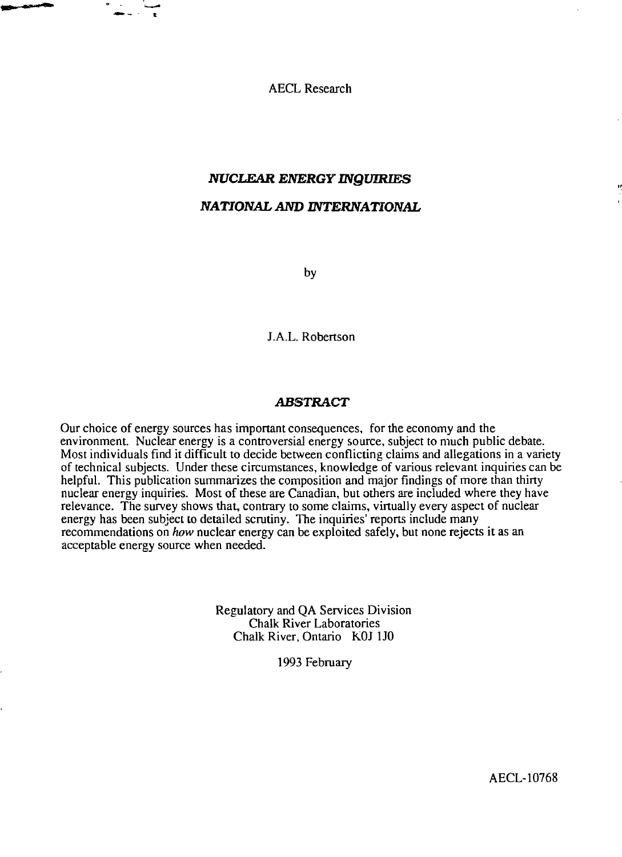AECL Research

# *NUCLEAR ENERGY INQUIRIES NATIONAL AND INTERNATIONAL*

by

J.A.L. Robertson

#### *ABSTRACT*

Our choice of energy sources has important consequences, for the economy and the environment. Nuclear energy is a controversial energy source, subject to much public debate. Most individuals find it difficult to decide between conflicting claims and allegations in a variety of technical subjects. Under these circumstances, knowledge of various relevant inquiries can be helpful. This publication summarizes the composition and major findings of more than thirty nuclear energy inquiries. Most of these are Canadian, but others are included where they have relevance. The survey shows that, contrary to some claims, virtually every aspect of nuclear energy has been subject to detailed scrutiny. The inquiries' reports include many recommendations on *how* nuclear energy can be exploited safely, but none rejects it as an acceptable energy source when needed.

> Regulatory and QA Services Division Chalk River Laboratories Chalk River, Ontario KOJ 1J0

> > 1993 February

AECL-10768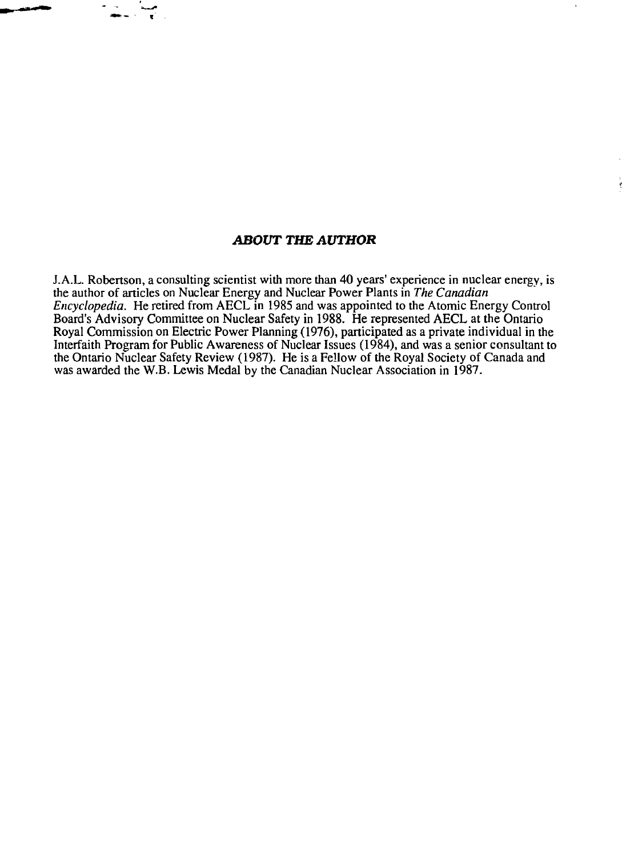# *ABOUT THE AUTHOR*

J.A.L. Robertson, a consulting scientist with more than 40 years' experience in nuclear energy, is the author of articles on Nuclear Energy and Nuclear Power Plants in *The Canadian Encyclopedia.* He retired from AECL in 1985 and was appointed to the Atomic Energy Control Board's Advisory Committee on Nuclear Safety in 1988. He represented AECL at the Ontario Royal Commission on Electric Power Planning (1976), participated as a private individual in the Interfaith Program for Public Awareness of Nuclear Issues (1984), and was a senior consultant to the Ontario Nuclear Safety Review (1987). He is a Fellow of the Royal Society of Canada and was awarded the W.B. Lewis Medal by the Canadian Nuclear Association in 1987.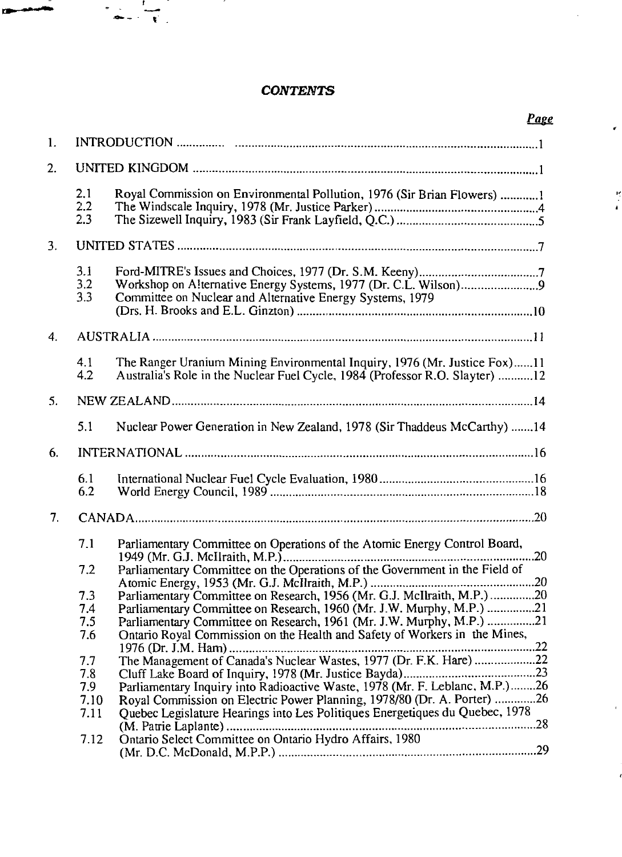# *CONTENTS*

 $\epsilon$ 

计算

 $\bar{t}$ 

 $\frac{1}{\sqrt{2}}\left( \frac{1}{\sqrt{2}}\right) =\frac{1}{\sqrt{2}}\left( \frac{1}{\sqrt{2}}\right)$ 

œ يسجون

|                  |                                   |                                                                                                                                                                                                                                                                                                              | Page |  |
|------------------|-----------------------------------|--------------------------------------------------------------------------------------------------------------------------------------------------------------------------------------------------------------------------------------------------------------------------------------------------------------|------|--|
| 1.               |                                   |                                                                                                                                                                                                                                                                                                              |      |  |
| 2.               |                                   |                                                                                                                                                                                                                                                                                                              |      |  |
|                  | 2.1<br>2.2<br>2.3                 | Royal Commission on Environmental Pollution, 1976 (Sir Brian Flowers) 1                                                                                                                                                                                                                                      |      |  |
| 3.               |                                   |                                                                                                                                                                                                                                                                                                              |      |  |
|                  | 3.1<br>3.2<br>3.3                 | Committee on Nuclear and Alternative Energy Systems, 1979                                                                                                                                                                                                                                                    |      |  |
| $\overline{4}$ . |                                   |                                                                                                                                                                                                                                                                                                              |      |  |
|                  | 4.1<br>4.2                        | The Ranger Uranium Mining Environmental Inquiry, 1976 (Mr. Justice Fox)11<br>Australia's Role in the Nuclear Fuel Cycle, 1984 (Professor R.O. Slayter) 12                                                                                                                                                    |      |  |
| 5.               |                                   |                                                                                                                                                                                                                                                                                                              |      |  |
|                  | 5.1                               | Nuclear Power Generation in New Zealand, 1978 (Sir Thaddeus McCarthy) 14                                                                                                                                                                                                                                     |      |  |
| 6.               |                                   |                                                                                                                                                                                                                                                                                                              |      |  |
|                  | 6.1<br>6.2                        |                                                                                                                                                                                                                                                                                                              |      |  |
| 7.               |                                   |                                                                                                                                                                                                                                                                                                              |      |  |
|                  | 7.1                               | Parliamentary Committee on Operations of the Atomic Energy Control Board,                                                                                                                                                                                                                                    |      |  |
|                  | 7.2                               | Parliamentary Committee on the Operations of the Government in the Field of                                                                                                                                                                                                                                  |      |  |
|                  | 7.3<br>7.4<br>7.5                 | Parliamentary Committee on Research, 1956 (Mr. G.J. McIlraith, M.P.) 20<br>Parliamentary Committee on Research, 1960 (Mr. J.W. Murphy, M.P.) 21<br>Parliamentary Committee on Research, 1961 (Mr. J.W. Murphy, M.P.) 21                                                                                      |      |  |
|                  | 7.6                               | Ontario Royal Commission on the Health and Safety of Workers in the Mines,                                                                                                                                                                                                                                   |      |  |
|                  | 7.7<br>7.8<br>7.9<br>7.10<br>7.11 | The Management of Canada's Nuclear Wastes, 1977 (Dr. F.K. Hare) 22<br>Parliamentary Inquiry into Radioactive Waste, 1978 (Mr. F. Leblanc, M.P.)26<br>Royal Commission on Electric Power Planning, 1978/80 (Dr. A. Porter) 26<br>Quebec Legislature Hearings into Les Politiques Energetiques du Quebec, 1978 |      |  |
|                  | 7.12                              | Ontario Select Committee on Ontario Hydro Affairs, 1980                                                                                                                                                                                                                                                      |      |  |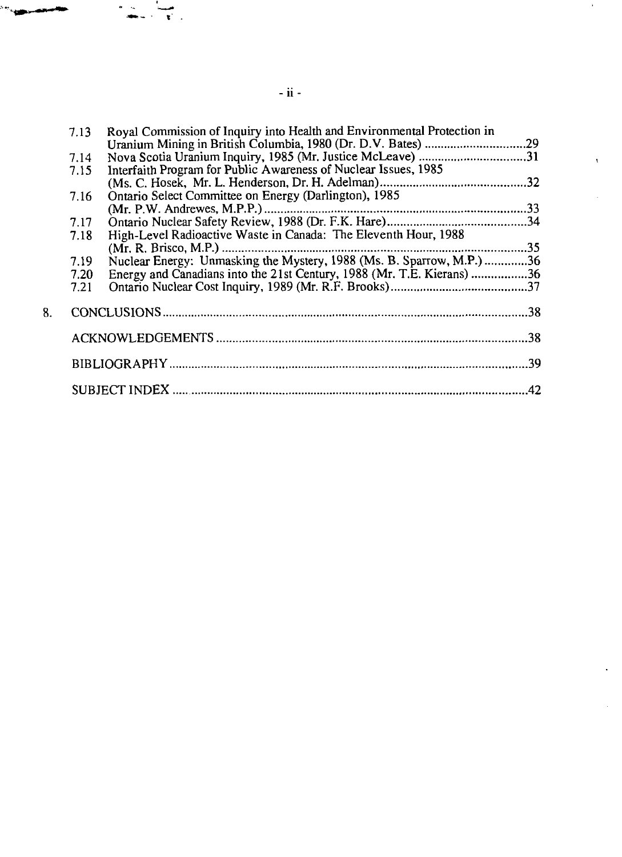| 7.13 | Royal Commission of Inquiry into Health and Environmental Protection in |  |  |
|------|-------------------------------------------------------------------------|--|--|
|      |                                                                         |  |  |
| 7.14 | Nova Scotia Uranium Inquiry, 1985 (Mr. Justice McLeave) 31              |  |  |
| 7.15 | Interfaith Program for Public Awareness of Nuclear Issues, 1985         |  |  |
|      |                                                                         |  |  |
| 7.16 | Ontario Select Committee on Energy (Darlington), 1985                   |  |  |
|      |                                                                         |  |  |
| 7.17 |                                                                         |  |  |
| 7.18 | High-Level Radioactive Waste in Canada: The Eleventh Hour, 1988         |  |  |
|      |                                                                         |  |  |
| 7.19 | Nuclear Energy: Unmasking the Mystery, 1988 (Ms. B. Sparrow, M.P.) 36   |  |  |
| 7.20 | Energy and Canadians into the 21st Century, 1988 (Mr. T.E. Kierans) 36  |  |  |
| 7.21 |                                                                         |  |  |
|      |                                                                         |  |  |
|      |                                                                         |  |  |
|      |                                                                         |  |  |
|      |                                                                         |  |  |
|      |                                                                         |  |  |
|      |                                                                         |  |  |
|      |                                                                         |  |  |
|      |                                                                         |  |  |
| .42  |                                                                         |  |  |
|      |                                                                         |  |  |

 $\sim$ 

 $\vec{v}$  .

 $\bar{\nu}$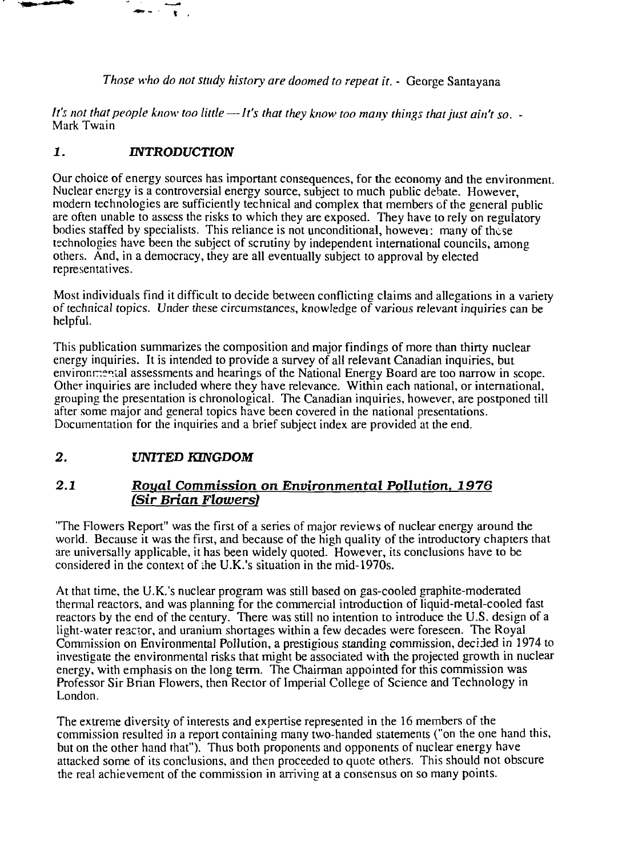*Those who do not study history are doomed to repeat it.* - George Santayana

*It's not that people know too little* — *It's that they know too many things that just ain't so. -* Mark Twain

# *1. INTRODUCTION*

 $\mathbf{r}$ 

Our choice of energy sources has important consequences, for the economy and the environment. Nuclear energy is a controversial energy source, subject to much public debate. However, modern technologies are sufficiently technical and complex that members of the general public are often unable to assess the risks to which they are exposed. They have to rely on regulatory bodies staffed by specialists. This reliance is not unconditional, however: many of these technologies have been the subject of scrutiny by independent international councils, among others. And, in a democracy, they are all eventually subject to approval by elected representatives.

Most individuals find it difficult to decide between conflicting claims and allegations in a variety of technical topics. Under these circumstances, knowledge of various relevant inquiries can be helpful.

This publication summarizes the composition and major findings of more than thirty nuclear energy inquiries. It is intended to provide a survey of all relevant Canadian inquiries, but envirornnenial assessments and hearings of the National Energy Board are too narrow in scope. Other inquiries are included where they have relevance. Within each national, or international, grouping the presentation is chronological. The Canadian inquiries, however, are postponed till after some major and general topics have been covered in the national presentations. Documentation for the inquiries and a brief subject index are provided at the end.

# *2. UNITED KINGDOM*

# *2.1 Royal Commission on Environmental Pollution. 1976 (Sir Brian Flowers)*

"The Flowers Report" was the first of a series of major reviews of nuclear energy around the world. Because it was the first, and because of the high quality of the introductory chapters that are universally applicable, it has been widely quoted. However, its conclusions have to be considered in the context of ihe U.K.'s situation in the mid-1970s.

At that time, the U.K.'s nuclear program was still based on gas-cooled graphite-moderated thermal reactors, and was planning for the commercial introduction of liquid-metal-cooled fast reactors by the end of the century. There was still no intention to introduce the U.S. design of a light-water reactor, and uranium shortages within a few decades were foreseen. The Royal Commission on Environmental Pollution, a prestigious standing commission, decided in 1974 to investigate the environmental risks that might be associated with the projected growth in nuclear energy, with emphasis on the long term. The Chairman appointed for this commission was Professor Sir Brian Flowers, then Rector of Imperial College of Science and Technology in London.

The extreme diversity of interests and expertise represented in the 16 members of the commission resulted in a report containing many two-handed statements ("on the one hand this, but on the other hand that"). Thus both proponents and opponents of nuclear energy have attacked some of its conclusions, and then proceeded to quote others. This should not obscure the real achievement of the commission in arriving at a consensus on so many points.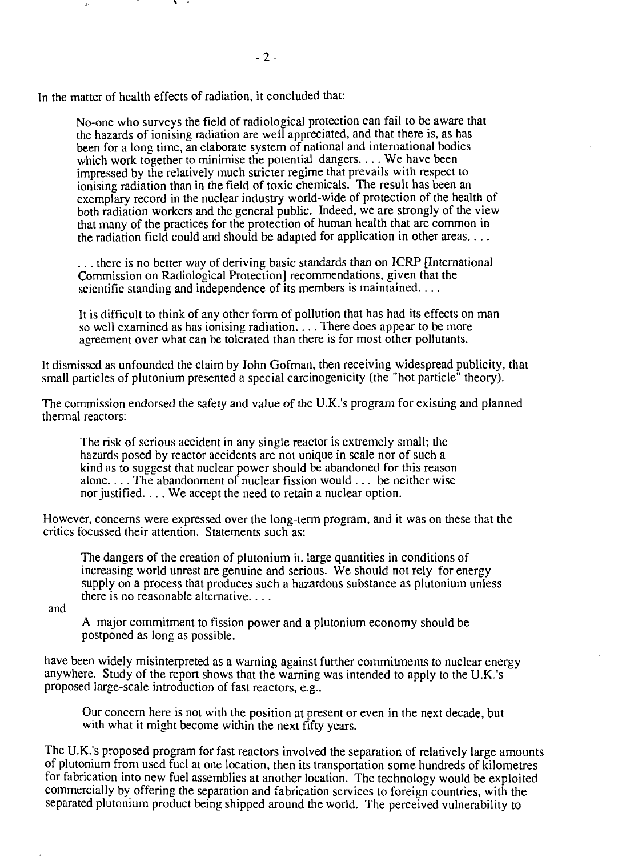In the matter of health effects of radiation, it concluded that:

No-one who surveys the field of radiological protection can fail to be aware that the hazards of ionising radiation are well appreciated, and that there is, as has been for a long time, an elaborate system of national and international bodies which work together to minimise the potential dangers.... We have been impressed by the relatively much stricter regime that prevails with respect to ionising radiation than in the field of toxic chemicals. The result has been an exemplary record in the nuclear industry world-wide of protection of the health of both radiation workers and the general public. Indeed, we are strongly of the view that many of the practices for the protection of human health that are common in the radiation field could and should be adapted for application in other areas....

**- 2-**

. . . there is no better way of deriving basic standards than on ICRP [International Commission on Radiological Protection] recommendations, given that the scientific standing and independence of its members is maintained. . . .

It is difficult to think of any other form of pollution that has had its effects on man so well examined as has ionising radiation.... There does appear to be more agreement over what can be tolerated than there is for most other pollutants.

It dismissed as unfounded the claim by John Gofman, then receiving widespread publicity, that small particles of plutonium presented a special carcinogenicity (the "hot particle" theory).

The commission endorsed the safety and value of the U.K.'s program for existing and planned thermal reactors:

The risk of serious accident in any single reactor is extremely small; the hazards posed by reactor accidents are not unique in scale nor of such a kind as to suggest that nuclear power should be abandoned for this reason alone.... The abandonment of nuclear fission would .. . be neither wise nor justified. . .. We accept the need to retain a nuclear option.

However, concerns were expressed over the long-term program, and it was on these that the critics focussed their attention. Statements such as:

The dangers of the creation of plutonium ii. large quantities in conditions of increasing world unrest are genuine and serious. We should not rely for energy supply on a process that produces such a hazardous substance as plutonium unless there is no reasonable alternative....

and

A major commitment to fission power and a plutonium economy should be postponed as long as possible.

have been widely misinterpreted as a warning against further commitments to nuclear energy anywhere. Study of the report shows that the warning was intended to apply to the U.K.'s proposed large-scale introduction of fast reactors, e.g.,

Our concern here is not with the position at present or even in the next decade, but with what it might become within the next fifty years.

The U.K.'s proposed program for fast reactors involved the separation of relatively large amounts of plutonium from used fuel at one location, then its transportation some hundreds of kilometres for fabrication into new fuel assemblies at another location. The technology would be exploited commercially by offering the separation and fabrication services to foreign countries, with the separated plutonium product being shipped around the world. The perceived vulnerability to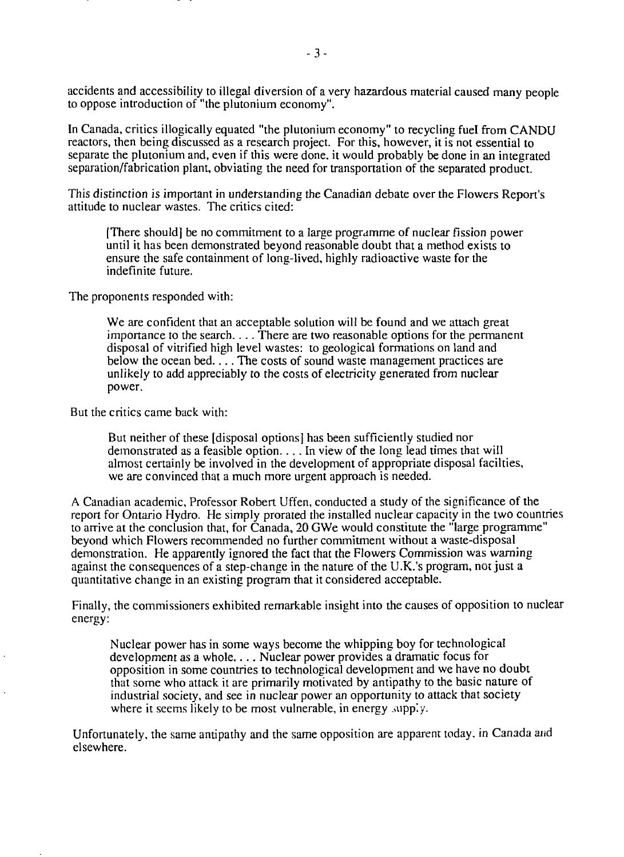accidents and accessibility to illegal diversion of a very hazardous material caused many people to oppose introduction of "the plutonium economy".

In Canada, critics illogically equated "the plutonium economy" to recycling fuel from CANDU reactors, then being discussed as a research project. For this, however, it is not essential to separate the plutonium and, even if this were done, it would probably be done in an integrated separation/fabrication plant, obviating the need for transportation of the separated product.

This distinction is important in understanding the Canadian debate over the Flowers Report's attitude to nuclear wastes. The critics cited:

[There should] be no commitment to a large programme of nuclear fission power until it has been demonstrated beyond reasonable doubt that a method exists to ensure the safe containment of long-lived, highly radioactive waste for the indefinite future.

The proponents responded with:

We are confident that an acceptable solution will be found and we attach great importance to the search.... There are two reasonable options for the permanent disposal of vitrified high level wastes: to geological formations on land and below the ocean bed.... The costs of sound waste management practices are unlikely to add appreciably to the costs of electricity generated from nuclear power.

But the critics came back with:

But neither of these [disposal options] has been sufficiently studied nor demonstrated as a feasible option.... In view of the long lead times that will almost certainly be involved in the development of appropriate disposal facilties, we are convinced that a much more urgent approach is needed.

A Canadian academic. Professor Robert Uffen, conducted a study of the significance of the report for Ontario Hydro. He simply prorated the installed nuclear capacity in the two countries to arrive at the conclusion that, for Canada, 20 GWe would constitute the "large programme" beyond which Flowers recommended no further commitment without a waste-disposal demonstration. He apparently ignored the fact that the Flowers Commission was warning against the consequences of a step-change in the nature of the U.K.'s program, not just a quantitative change in an existing program that it considered acceptable.

Finally, the commissioners exhibited remarkable insight into the causes of opposition to nuclear energy:

Nuclear power has in some ways become the whipping boy for technological development as a whole.... Nuclear power provides a dramatic focus for opposition in some countries to technological development and we have no doubt that some who attack it are primarily motivated by antipathy to the basic nature of industrial society, and see in nuclear power an opportunity to attack that society where it seems likely to be most vulnerable, in energy supply.

Unfortunately, the same antipathy and the same opposition are apparent today, in Canada and elsewhere.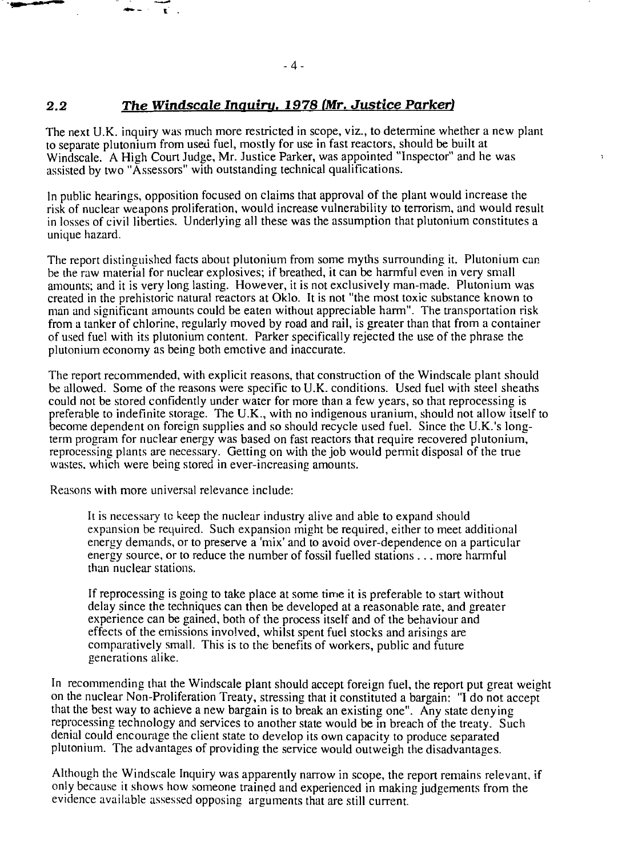# **2.2** *The Windscale Inquiru. 1978 (Mr. Justice Parker)*

The next U.K. inquiry was much more restricted in scope, viz., to determine whether a new plant to separate plutonium from used fuel, mostly for use in fast reactors, should be built at Windscale. A High Court Judge, Mr. Justice Parker, was appointed "Inspector" and he was assisted by two "Assessors" with outstanding technical qualifications.

 $\ddot{\phantom{0}}$ 

In public hearings, opposition focused on claims that approval of the plant would increase the risk of nuclear weapons proliferation, would increase vulnerability to terrorism, and would result in losses of civil liberties. Underlying all these was the assumption that plutonium constitutes a unique hazard.

The report distinguished facts about plutonium from some myths surrounding it. Plutonium can be the raw material for nuclear explosives; if breathed, it can be harmful even in very small amounts; and it is very long lasting. However, it is not exclusively man-made. Plutonium was created in the prehistoric natural reactors at Oklo. It is not "the most toxic substance known to man and significant amounts could be eaten without appreciable harm". The transportation risk from a tanker of chlorine, regularly moved by road and rail, is greater than that from a container of used fuel with its plutonium content. Parker specifically rejected the use of the phrase the plutonium economy as being both emotive and inaccurate.

The report recommended, with explicit reasons, that construction of the Windscale plant should be allowed. Some of the reasons were specific to U.K. conditions. Used fuel with steel sheaths could not be stored confidently under water for more than a few years, so that reprocessing is preferable to indefinite storage. The U.K., with no indigenous uranium, should not allow itself to become dependent on foreign supplies and so should recycle used fuel. Since the U.K.'s longterm program for nuclear energy was based on fast reactors that require recovered plutonium, reprocessing plants are necessary. Getting on with the job would permit disposal of the true wastes, which were being stored in ever-increasing amounts.

Reasons with more universal relevance include:

It is necessary tc keep the nuclear industry alive and able to expand should expansion be required. Such expansion might be required, either to meet additional energy demands, or to preserve a 'mix' and to avoid over-dependence on a particular energy source, or to reduce the number of fossil fuelled stations .. . more harmful than nuclear stations.

If reprocessing is going to take place at some time it is preferable to start without delay since the techniques can then be developed at a reasonable rate, and greater experience can be gained, both of the process itself and of the behaviour and effects of the emissions involved, whilst spent fuel stocks and arisings are comparatively small. This is to the benefits of workers, public and future generations alike.

In recommending that the Windscale plant should accept foreign fuel, the report put great weight on the nuclear Non-Proliferation Treaty, stressing that it constituted a bargain: "I do not accept that the best way to achieve a new bargain is to break an existing one". Any state denying reprocessing technology and services to another state would be in breach of the treaty. Such denial could encourage the client state to develop its own capacity to produce separated plutonium. The advantages of providing the service would outweigh the disadvantages.

Although the Windscale Inquiry was apparently narrow in scope, the report remains relevant, if only because it shows how someone trained and experienced in making judgements from the evidence available assessed opposing arguments that are still current.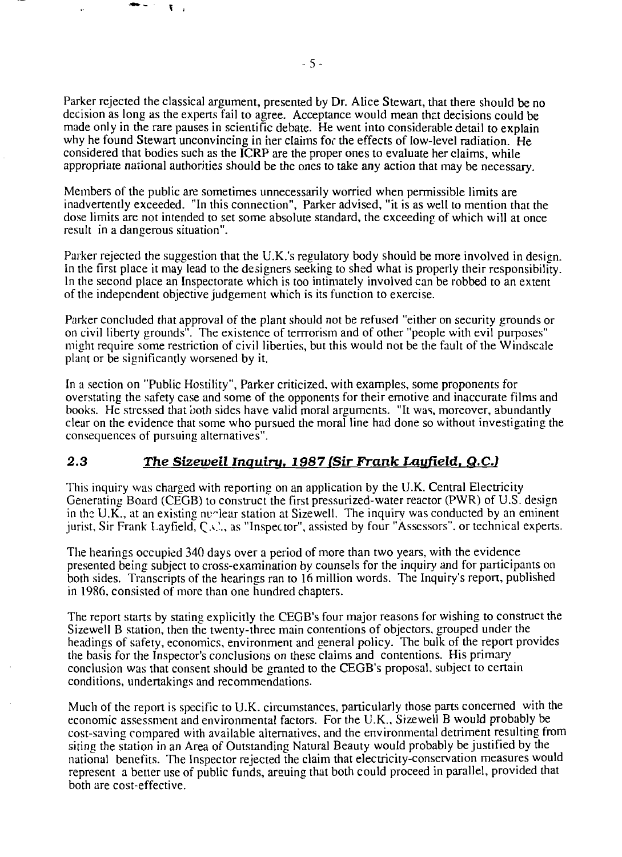Parker rejected the classical argument, presented by Dr. Alice Stewart, that there should be no decision as long as the experts fail to agree. Acceptance would mean that decisions could be made only in the rare pauses in scientific debate. He went into considerable detail to explain why he found Stewart unconvincing in her claims for the effects of low-level radiation. He considered that bodies such as the ICRP are the proper ones to evaluate her claims, while appropriate national authorities should be the ones to take any action that may be necessary.

Members of the public are sometimes unnecessarily worried when permissible limits are inadvertently exceeded. "In this connection", Parker advised, "it is as well to mention that the dose limits are not intended to set some absolute standard, the exceeding of which will at once result in a dangerous situation".

Parker rejected the suggestion that the U.K.'s regulatory body should be more involved in design. In the first place it may lead to the designers seeking to shed what is properly their responsibility. In the second place an Inspectorate which is too intimately involved can be robbed to an extent of the independent objective judgement which is its function to exercise.

Parker concluded that approval of the plant should not be refused "either on security grounds or on civil liberty grounds". The existence of terrrorism and of other "people with evil purposes" might require some restriction of civil liberties, but this would not be the fault of the Windscale plant or be significantly worsened by it.

In a section on "Public Hostility", Parker criticized, with examples, some proponents for overstating the safety case and some of the opponents for their emotive and inaccurate films and books. He stressed that both sides have valid moral arguments. "It was, moreover, abundantly clear on the evidence that some who pursued the moral line had done so without investigating the consequences of pursuing alternatives".

# 2.3 The Sizewell Inquiry, 1987 [Sir Frank Layfield, Q.C.]

This inquiry was charged with reporting on an application by the U.K. Central Electricity Generating Board (CEGB) to construct the first pressurized-water reactor (PWR) of U.S. design in the U.K., at an existing number station at Sizewell. The inquiry was conducted by an eminent jurist. Sir Frank Layfield, Q.C, as "Inspector", assisted by four "Assessors", or technical experts.

The hearings occupied 340 days over a period of more than two years, with the evidence presented being subject to cross-examination by counsels for the inquiry and for participants on both sides. Transcripts of the hearings ran to 16 million words. The Inquiry's report, published in 1986, consisted of more than one hundred chapters.

The report starts by stating explicitly the CEGB's four major reasons for wishing to construct the Sizewell B station, then the twenty-three main contentions of objectors, grouped under the headings of safety, economics, environment and general policy. The bulk of the report provides the basis for the Inspector's conclusions on these claims and contentions. His primary conclusion was that consent should be granted to the CEGB's proposal, subject to certain conditions, undertakings and recommendations.

Much of the report is specific to U.K. circumstances, particularly those parts concerned with the economic assessment and environmental factors. For the U.K., Sizewell B would probably be cost-saving compared with available alternatives, and the environmental detriment resulting from siting the station in an Area of Outstanding Natural Beauty would probably be justified by the national benefits. The Inspector rejected the claim that electricity-conservation measures would represent a better use of public funds, arsuing that both could proceed in parallel, provided that both are cost-effective.

 $\mathbf{Y}$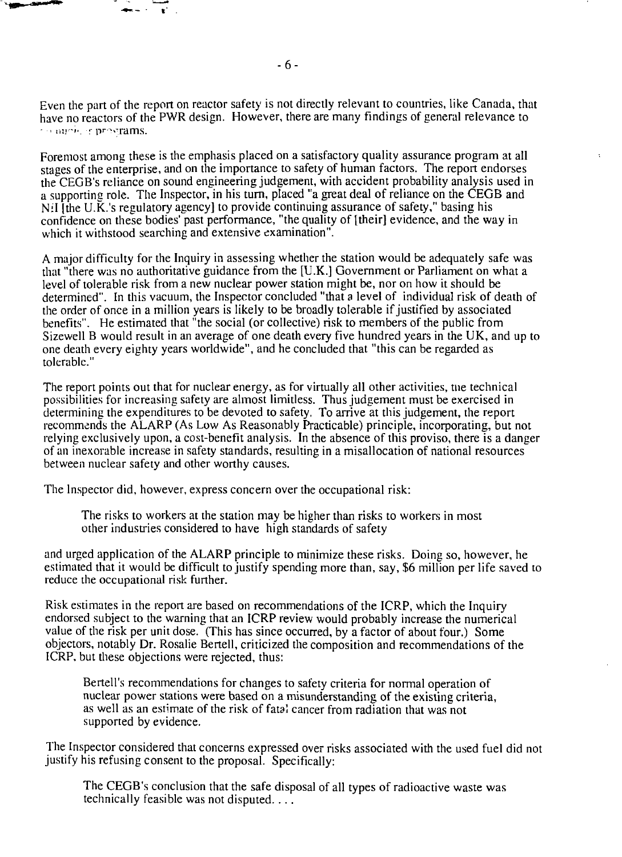Even the part of the report on reactor safety is not directly relevant to countries, like Canada, that have no reactors of the PWR design. However, there are many findings of general relevance to the programs.

Foremost among these is the emphasis placed on a satisfactory quality assurance program at all stages of the enterprise, and on the importance to safety of human factors. The report endorses the CEGB's reliance on sound engineering judgement, with accident probability analysis used in a supporting role. The Inspector, in his turn, placed "a great deal of reliance on the CEGB and Nil [the U.K.'s regulatory agency] to provide continuing assurance of safety," basing his confidence on these bodies' past performance, "the quality of [their] evidence, and the way in which it withstood searching and extensive examination".

A major difficulty for the Inquiry in assessing whether the station would be adequately safe was that "there was no authoritative guidance from the [U.K.] Government or Parliament on what a level of tolerable risk from a new nuclear power station might be, nor on how it should be determined". In this vacuum, the Inspector concluded "that a level of individual risk of death of the order of once in a million years is likely to be broadly tolerable if justified by associated benefits". He estimated that "the social (or collective) risk to members of the public from Sizewell B would result in an average of one death every five hundred years in the UK, and up to one death every eighty years worldwide", and he concluded that "this can be regarded as tolerable."

The report points out that for nuclear energy, as for virtually all other activities, tne technical possibilities for increasing safety are almost limitless. Thus judgement must be exercised in determining the expenditures to be devoted to safety. To arrive at this judgement, the report recommends the ALARP (As Low As Reasonably Practicable) principle, incorporating, but not relying exclusively upon, a cost-benefit analysis. In the absence of this proviso, there is a danger of an inexorable increase in safety standards, resulting in a misallocation of national resources between nuclear safety and other worthy causes.

The Inspector did, however, express concern over the occupational risk:

The risks to workers at the station may be higher than risks to workers in most other industries considered to have high standards of safety

and urged application of the ALARP principle to minimize these risks. Doing so, however, he estimated that it would be difficult to justify spending more than, say, \$6 million per life saved to reduce the occupational risk further.

Risk estimates in the report are based on recommendations of the ICRP, which the Inquiry endorsed subject to the warning that an ICRP review would probably increase the numerical value of the risk per unit dose. (This has since occurred, by a factor of about four.) Some objectors, notably Dr. Rosalie Bertell, criticized the composition and recommendations of the ICRP, but these objections were rejected, thus:

Bertell's recommendations for changes to safety criteria for normal operation of nuclear power stations were based on a misunderstanding of the existing criteria, as well as an estimate of the risk of fatal cancer from radiation that was not supported by evidence.

The Inspector considered that concerns expressed over risks associated with the used fuel did not justify his refusing consent to the proposal. Specifically:

The CEGB's conclusion that the safe disposal of all types of radioactive waste was technically feasible was not disputed....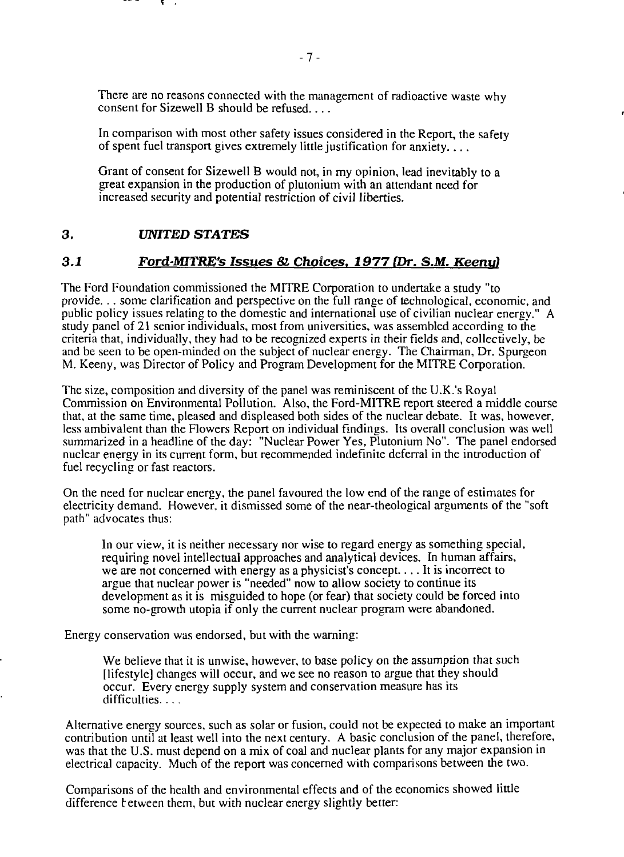There are no reasons connected with the management of radioactive waste why consent for Sizewell B should be refused....

In comparison with most other safety issues considered in the Report, the safety of spent fuel transport gives extremely little justification for anxiety....

Grant of consent for Sizewell B would not, in my opinion, lead inevitably to a great expansion in the production of plutonium with an attendant need for increased security and potential restriction of civil liberties.

# **3 .** *UNITED STATES*

#### *3.1 Ford-MTTRE's Issues & Choices. 1977 (Dr. S.M. Keenyl*

The Ford Foundation commissioned the MITRE Corporation to undertake a study "to provide... some clarification and perspective on the full range of technological, economic, and public policy issues relating to the domestic and international use of civilian nuclear energy." A study panel of 21 senior individuals, most from universities, was assembled according to the criteria that, individually, they had to be recognized experts in their fields and, collectively, be and be seen to be open-minded on the subject of nuclear energy. The Chairman, Dr. Spurgeon M. Keeny, was Director of Policy and Program Development for the MITRE Corporation.

The size, composition and diversity of the panel was reminiscent of the U.K.'s Royal Commission on Environmental Pollution. Also, the Ford-MITRE report steered a middle course that, at the same time, pleased and displeased both sides of the nuclear debate. It was, however, less ambivalent than the Flowers Report on individual findings. Its overall conclusion was well summarized in a headline of the day: "Nuclear Power Yes, Plutonium No". The panel endorsed nuclear energy in its current form, but recommended indefinite deferral in the introduction of fuel recycling or fast reactors.

On the need for nuclear energy, the panel favoured the low end of the range of estimates for electricity demand. However, it dismissed some of the near-theological arguments of the "soft path" advocates thus:

In our view, it is neither necessary nor wise to regard energy as something special, requiring novel intellectual approaches and analytical devices. In human affairs, we are not concerned with energy as a physicist's concept.... It is incorrect to argue that nuclear power is "needed" now to allow society to continue its development as it is misguided to hope (or fear) that society could be forced into some no-growth utopia if only the current nuclear program were abandoned.

Energy conservation was endorsed, but with the warning:

We believe that it is unwise, however, to base policy on the assumption that such [lifestyle] changes will occur, and we see no reason to argue that they should occur. Every energy supply system and conservation measure has its difficulties....

Alternative energy sources, such as solar or fusion, could not be expected to make an important contribution until at least well into the next century. A basic conclusion of the panel, therefore, was that the U.S. must depend on a mix of coal and nuclear plants for any major expansion in electrical capacity. Much of the report was concerned with comparisons between the two.

Comparisons of the health and environmental effects and of the economics showed little difference tetween them, but with nuclear energy slightly better: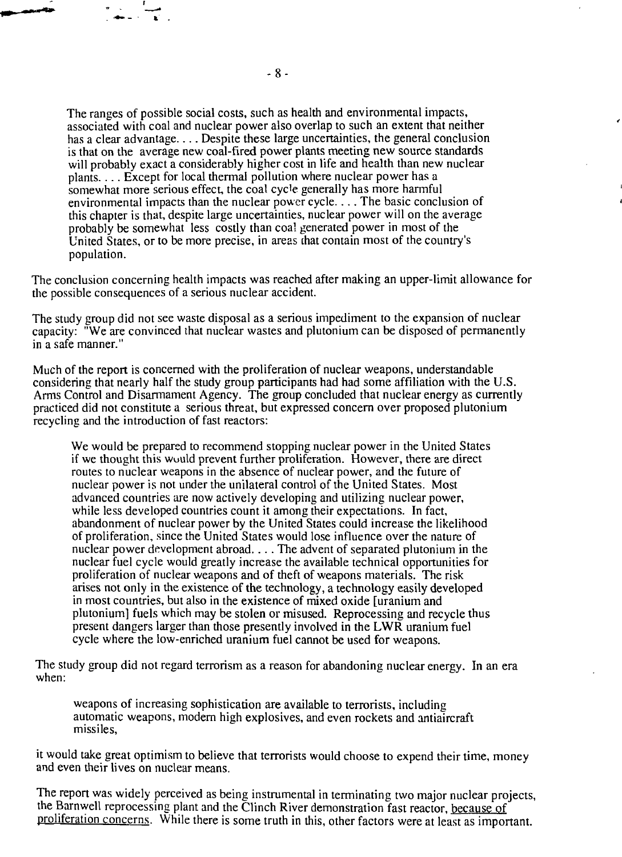The ranges of possible social costs, such as health and environmental impacts, associated with coal and nuclear power also overlap to such an extent that neither has a clear advantage.... Despite these large uncertainties, the general conclusion is that on the average new coal-fired power plants meeting new source standards will probably exact a considerably higher cost in life and health than new nuclear plants.... Except for local thermal pollution where nuclear power has a somewhat more serious effect, the coal cycle generally has more harmful environmental impacts than the nuclear power cycle.... The basic conclusion of this chapter is that, despite large uncertainties, nuclear power will on the average probably be somewhat less costly than coa! generated power in most of the United States, or to be more precise, in areas chat contain most of the country's population.

The conclusion concerning health impacts was reached after making an upper-limit allowance for the possible consequences of a serious nuclear accident.

The study group did not see waste disposal as a serious impediment to the expansion of nuclear capacity: "We are convinced that nuclear wastes and plutonium can be disposed of permanently in a safe manner."

Much of the report is concerned with the proliferation of nuclear weapons, understandable considering that nearly half the study group participants had had some affiliation with the U.S. Arms Control and Disarmament Agency. The group concluded that nuclear energy as currently practiced did not constitute a serious threat, but expressed concern over proposed plutonium recycling and the introduction of fast reactors:

We would be prepared to recommend stopping nuclear power in the United States if we thought this wuuld prevent further proliferation. However, there are direct routes to nuclear weapons in the absence of nuclear power, and the future of nuclear power is not under the unilateral control of the United States. Most advanced countries are now actively developing and utilizing nuclear power, while less developed countries count it among their expectations. In fact, abandonment of nuclear power by the United States could increase the likelihood of proliferation, since the United States would lose influence over the nature of nuclear power development abroad.... The advent of separated plutonium in the nuclear fuel cycle would greatly increase the available technical opportunities for proliferation of nuclear weapons and of theft of weapons materials. The risk arises not only in the existence of the technology, a technology easily developed in most countries, but also in the existence of mixed oxide [uranium and plutonium] fuels which may be stolen or misused. Reprocessing and recycle thus present dangers larger than those presently involved in the LWR uranium fuel cycle where the low-enriched uranium fuel cannot be used for weapons.

The study group did not regard terrorism as a reason for abandoning nuclear energy. In an era when:

weapons of increasing sophistication are available to terrorists, including automatic weapons, modern high explosives, and even rockets and antiaircraft missiles,

it would take great optimism to believe that terrorists would choose to expend their time, money and even their lives on nuclear means.

The report was widely perceived as being instrumental in terminating two major nuclear projects, the Barnwell reprocessing plant and the Clinch River demonstration fast reactor, because of proliferation concerns. While there is some truth in this, other factors were at least as important.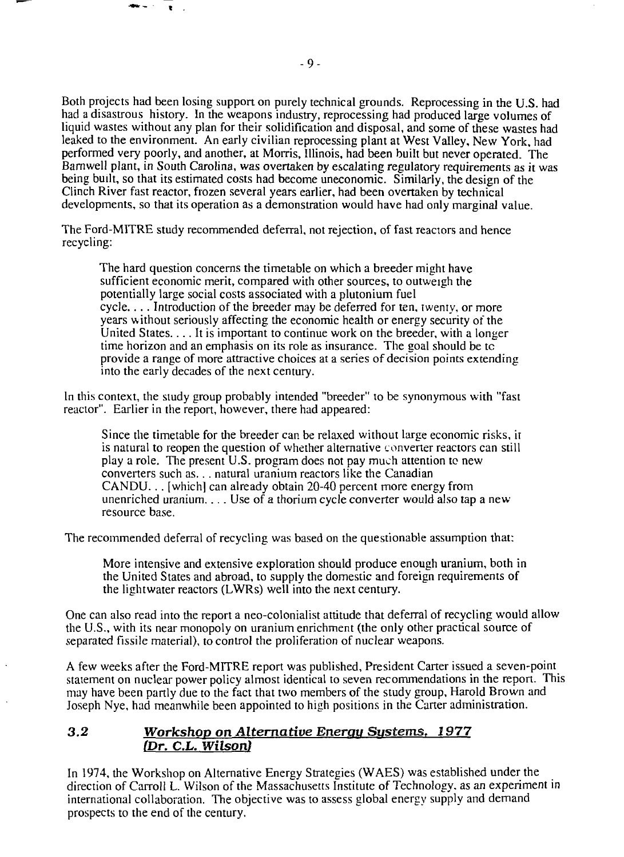Both projects had been losing support on purely technical grounds. Reprocessing in the U.S. had had a disastrous history. In the weapons industry, reprocessing had produced large volumes of liquid wastes without any plan for their solidification and disposal, and some of these wastes had leaked to the environment. An early civilian reprocessing plant at West Valley, New York, had performed very poorly, and another, at Morris, Illinois, had been built but never operated. The Barnwell plant, in South Carolina, was overtaken by escalating regulatory requirements as it was being built, so that its estimated costs had become uneconomic. Similarly, the design of the Clinch River fast reactor, frozen several years earlier, had been overtaken by technical developments, so that its operation as a demonstration would have had only marginal value.

The Ford-MITRE study recommended deferral, not rejection, of fast reactors and hence recycling:

The hard question concerns the timetable on which a breeder might have sufficient economic merit, compared with other sources, to outweigh the potentially large social costs associated with a plutonium fuel cycle.. . . Introduction of the breeder may be deferred for ten, twenty, or more years without seriously affecting the economic health or energy security of the United States.... It is important to continue work on the breeder, with a longer time horizon and an emphasis on its role as insurance. The goal should be tc provide a range of more attractive choices at a series of decision points extending into the early decades of the next century.

In this context, the study group probably intended "breeder" to be synonymous with "fast reactor". Earlier in the report, however, there had appeared:

Since the timetable for the breeder can be relaxed without large economic risks, it is natural to reopen the question of whether alternative convener reactors can still play a role. The present U.S. program does not pay much attention to new converters such as... natural uranium reactors like the Canadian CANDU.. . [which] can already obtain 20-40 percent more energy from unenriched uranium.... Use of a thorium cycle converter would also tap a new resource base.

The recommended deferral of recycling was based on the questionable assumption that:

More intensive and extensive exploration should produce enough uranium, both in the United States and abroad, to supply the domestic and foreign requirements of the lightwater reactors (LWRs) well into the next century.

One can also read into the report a neo-colonialist attitude that deferral of recycling would allow the U.S., with its near monopoly on uranium enrichment (the only other practical source of separated fissile material), to control the proliferation of nuclear weapons.

A few weeks after the Ford-MITRE report was published. President Carter issued a seven-point statement on nuclear power policy almost identical to seven recommendations in the report. This may have been partly due to the fact that two members of the study group, Harold Brown and Joseph Nye, had meanwhile been appointed to high positions in the Carter administration.

#### *3.2 Workshop on Alternative Energy Systems, 1977 (Dr. C.L. Wilson)*

In 1974, the Workshop on Alternative Energy Strategies (WAES) was established under the direction of Carroll L. Wilson of the Massachusetts Institute of Technology, as an experiment in international collaboration. The objective was to assess global energy supply and demand prospects to the end of the century.

 $\bullet$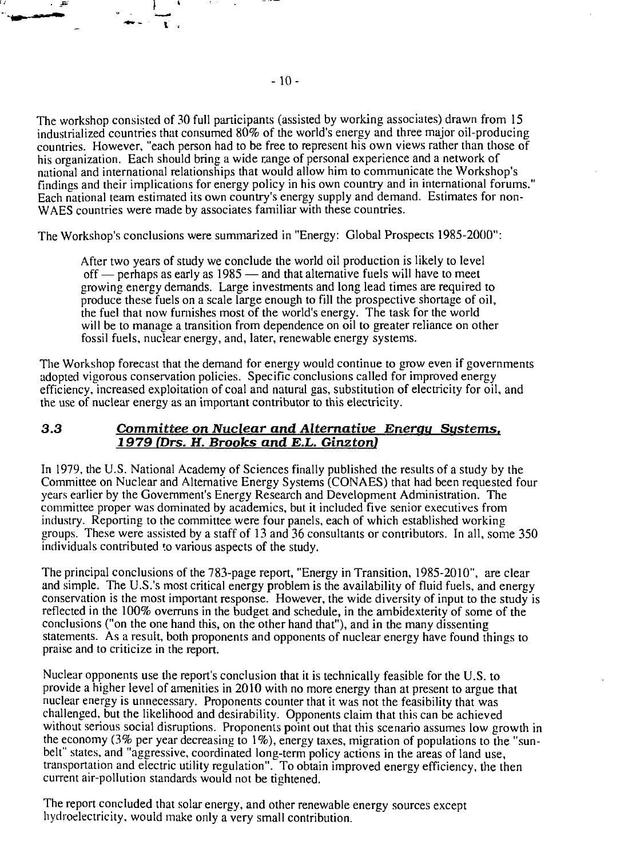The workshop consisted of 30 full participants (assisted by working associates) drawn from 15 industrialized countries that consumed 80% of the world's energy and three major oil-producing countries. However, "each person had to be free to represent his own views rather than those of his organization. Each should bring a wide range of personal experience and a network of national and international relationships that would allow him to communicate the Workshop's findings and their implications for energy policy in his own country and in international forums." Each national team estimated its own country's energy supply and demand. Estimates for non-WAES countries were made by associates familiar with these countries.

The Workshop's conclusions were summarized in "Energy: Global Prospects 1985-2000":

After two years of study we conclude the world oil production is likely to level off — perhaps as early as 1985 — and that alternative fuels will have to meet growing energy demands. Large investments and long lead times are required to produce these fuels on a scale large enough to fill the prospective shortage of oil, the fuel that now furnishes most of the world's energy. The task for the world will be to manage a transition from dependence on oil to greater reliance on other fossil fuels, nuclear energy, and, later, renewable energy systems.

The Workshop forecast that the demand for energy would continue to grow even if governments adopted vigorous conservation policies. Specific conclusions called for improved energy efficiency, increased exploitation of coal and natural gas, substitution of electricity for oil, and the use of nuclear energy as an important contributor to this electricity.

#### **3.3** *Committee on Nuclear and Alternative Enerau Sustems. 1979 (Drs. H. Brooks and E.L. Ginztonl*

In 1979, die U.S. National Academy of Sciences finally published the results of a study by the Committee on Nuclear and Alternative Energy Systems (CONAES) that had been requested four years earlier by the Government's Energy Research and Development Administration. The committee proper was dominated by academics, but it included five senior executives from industry. Reporting to the committee were four panels, each of which established working groups. These were assisted by a staff of 13 and 36 consultants or contributors. In all, some 350 individuals contributed to various aspects of the study.

The principal conclusions of the 783-page report, "Energy in Transition, 1985-2010", are clear and simple. The U.S.'s most critical energy problem is the availability of fluid fuels, and energy conservation is the most important response. However, the wide diversity of input to the study is reflected in the 100% overruns in the budget and schedule, in the ambidexterity of some of the conclusions ("on the one hand this, on the other hand that"), and in the many dissenting statements. As a result, both proponents and opponents of nuclear energy have found things to praise and to criticize in the report.

Nuclear opponents use the report's conclusion that it is technically feasible for the U.S. to provide a higher level of amenities in 2010 with no more energy than at present to argue that nuclear energy is unnecessary. Proponents counter that it was not the feasibility that was challenged, but the likelihood and desirability. Opponents claim that this can be achieved without serious social disruptions. Proponents point out that this scenario assumes low growth in the economy (3% per year decreasing to 1%), energy taxes, migration of populations to the "sunbelt" states, and "aggressive, coordinated long-term policy actions in the areas of land use, transportation and electric utility regulation". To obtain improved energy efficiency, the then current air-pollution standards would not be tightened.

The report concluded that solar energy, and other renewable energy sources except hydroelectricity, would make only a very small contribution.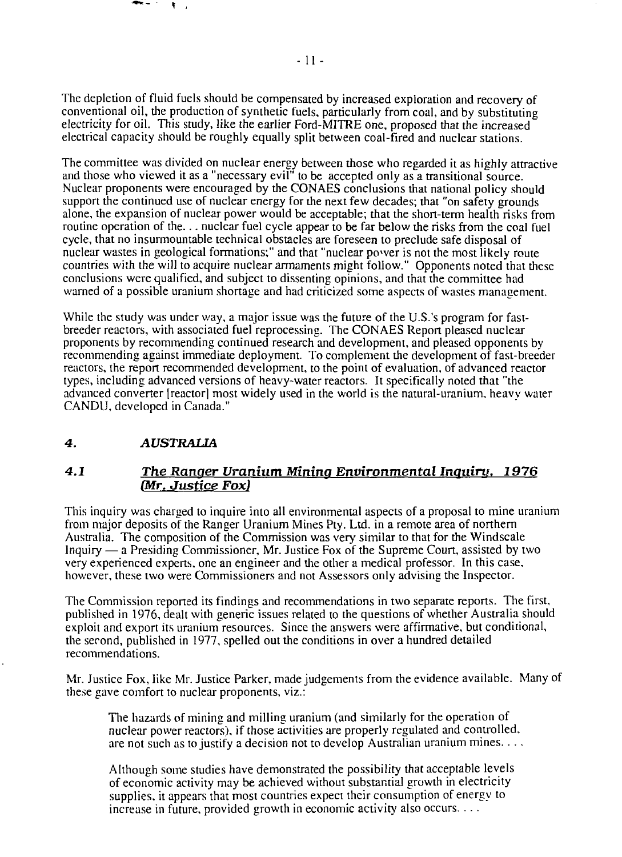The depletion of fluid fuels should be compensated by increased exploration and recovery of conventional oil, the production of synthetic fuels, particularly from coal, and by substituting electricity for oil. This study, like the earlier Ford-MITRE one, proposed that the increased electrical capacity should be roughly equally split between coal-fired and nuclear stations.

The committee was divided on nuclear energy between those who regarded it as highly attractive and those who viewed it as a "necessary evil<sup>"</sup> to be accepted only as a transitional source. Nuclear proponents were encouraged by the CONAES conclusions that national policy should support the continued use of nuclear energy for the next few decades; that "on safety grounds alone, the expansion of nuclear power would be acceptable; that the short-term health risks from routine operation of the... nuclear fuel cycle appear to be far below the risks from the coal fuel cycle, that no insurmountable technical obstacles are foreseen to preclude safe disposal of nuclear wastes in geological formations;" and that "nuclear power is not the most likely route countries with the will to acquire nuclear armaments might follow." Opponents noted that these conclusions were qualified, and subject to dissenting opinions, and that the committee had warned of a possible uranium shortage and had criticized some aspects of wastes management.

While the study was under way, a major issue was the future of the U.S.'s program for fastbreeder reactors, with associated fuel reprocessing. The CONAES Report pleased nuclear proponents by recommending continued research and development, and pleased opponents by recommending against immediate deployment. To complement the development of fast-breeder reactors, the report recommended development, to the point of evaluation, of advanced reactor types, including advanced versions of heavy-water reactors. It specifically noted that "the advanced converter [reactor] most widely used in the world is the natural-uranium, heavy water CANDU, developed in Canada."

# **4.** *AUSTRALIA*

-- $\sim$  $\mathbf{V}$ 

# *4.1 The Ranger Uranium. Mining Environmental Inquiry. 1976 (Mr. Justice Fox)*

This inquiry was charged to inquire into all environmental aspects of a proposal to mine uranium from major deposits of the Ranger Uranium Mines Pty. Ltd. in a remote area of northern Australia. The composition of the Commission was very similar to that for the Windscale Inquiry — a Presiding Commissioner, Mr. Justice Fox of the Supreme Court, assisted by two very experienced experts, one an engineer and the other a medical professor. In this case, however, these two were Commissioners and not Assessors only advising the Inspector.

The Commission reported its findings and recommendations in two separate reports. The first, published in 1976, dealt with generic issues related to the questions of whether Australia should exploit and export its uranium resources. Since the answers were affirmative, but conditional, the serond, published in 1977, spelled out the conditions in over a hundred detailed recommendations.

Mr. Justice Fox, like Mr. Justice Parker, made judgements from the evidence available. Many of these gave comfort to nuclear proponents, viz.:

The hazards of mining and milling uranium (and similarly for the operation of nuclear power reactors), if those activities are properly regulated and controlled, are not such as to justify a decision not to develop Australian uranium mines....

Although some studies have demonstrated the possibility that acceptable levels of economic activity may be achieved without substantial growth in electricity supplies, it appears that most countries expect their consumption of energy to increase in future, provided growth in economic activity also occurs. .. .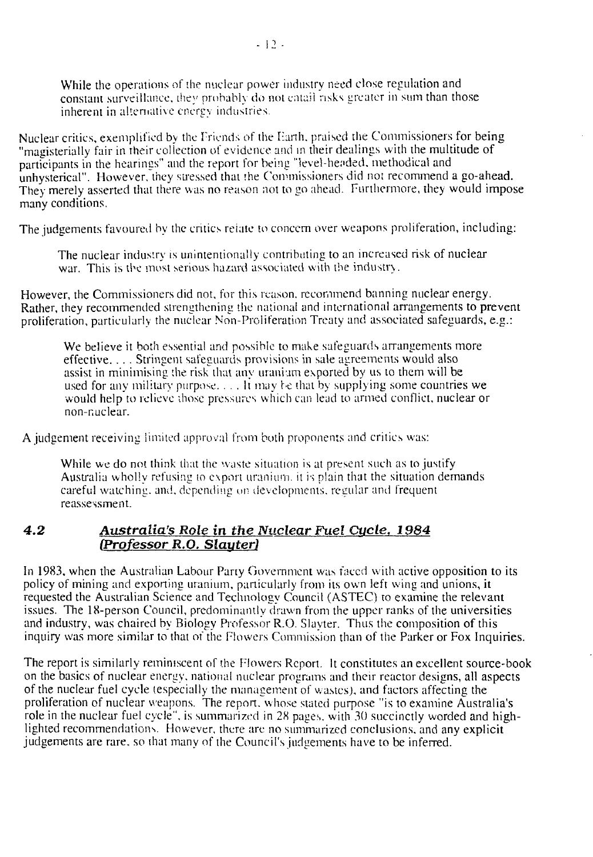While the operations of the nuclear power industry need close regulation and constant surveillance, they probably do noi entail risks greater in sum than those inherent in alternative energy industries.

Nuclear critics, exemplified by the Friends of the Earth, praised the Commissioners for being "magisterially fair in their collection of evidence and in their dealings with the multitude of participants in the hearings" and the report for being "level-hended. methodical and unhysterical". However, they stressed that the Commissioners did not recommend a go-ahead. They merely asserted that there was no reason not to go ahead. Furthermore, they would impose many conditions.

The judgements favoured by the critics reiate to concern over weapons proliferation, including:

The nuclear industry is unintentionally contributing to an increased risk of nuclear war. This is the most serious hazard associated with the industry.

However, the Commissioners did not, for this reason, recommend banning nuclear energy. Rather, they recommended strengthening the national and international arrangements to prevent proliferation, particularly the nuclear Non-Proliferation Treaty and associated safeguards, e.g.:

We believe it both essential and possible to make safeguards arrangements more effective. . . . Stringent safeguards provisions in sale agreements would also assist in minimising the risk that any uranium exported by us to them will be used for any military purpose. . . . It may be that by supplying some countries we would help to relieve those pressures which can lead to armed conflict, nuclear or non-nuclear.

A judgement receiving limited approval from both proponents and critics was:

While we do not think that the waste situation is at present such as to justify Australia wholly refusing to export uranium, it is plain that the situation demands careful watching, and, depending on developments, regular and frequent reassessment.

# *4.2 Australia's Role in the Nuclear Fuel Cycle, 1984 (Professor R.O. Slauter)*

In 1983, when the Australian Labour Party Government was faced with active opposition to its policy of mining and exporting uranium, particularly from its own left wing and unions, it requested the Australian Science and Technology Council (ASTEC) to examine the relevant issues. The 18-person Council, predominantly drawn from the upper ranks of the universities and industry, was chaired by Biology Professor R.O. Slayter. Thus the composition of this inquiry was more similar to that of the Flowers Commission than of the Parker or Fox Inquiries.

The report is similarly reminiscent of the Flowers Report. It constitutes an excellent source-book on the basics of nuclear energy, national nuclear programs and their reactor designs, all aspects of the nuclear fuel cycle (especially the management of wastes), and factors affecting the proliferation of nuclear weapons. The report, whose slated purpose "is to examine Australia's role in the nuclear fuel cycle", is summarized in 28 pages, with 30 succinctly worded and highlighted recommendations. However, there arc no summarized conclusions, and any explicit judgements are rare, so that many of the Council's judgements have to be inferred.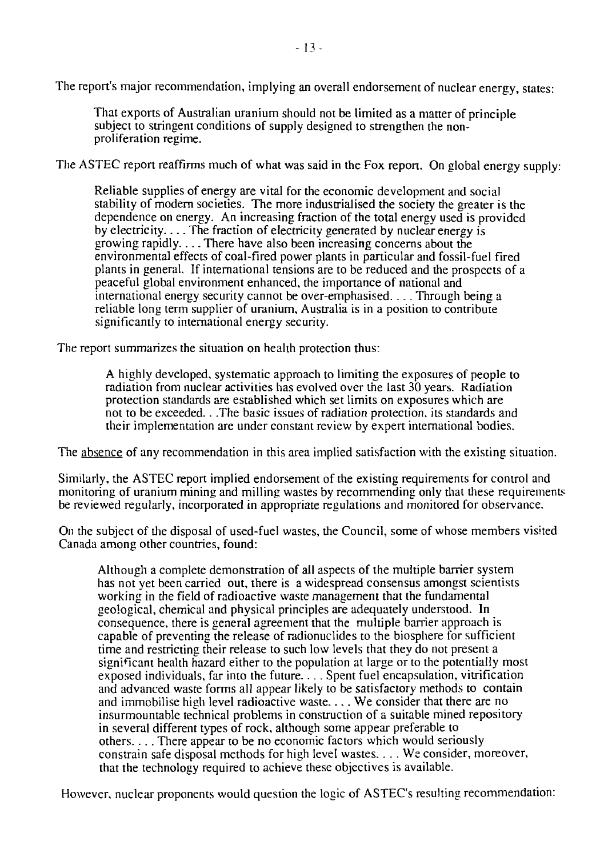The report's major recommendation, implying an overall endorsement of nuclear energy, states:

That exports of Australian uranium should not be limited as a matter of principle subject to stringent conditions of supply designed to strengthen the nonproliferation regime.

The ASTEC report reaffirms much of what was said in the Fox report. On global energy supply:

Reliable supplies of energy are vital for the economic development and social stability of modern societies. The more industrialised the society the greater is the dependence on energy. An increasing fraction of the total energy used is provided by electricity.... The fraction of electricity generated by nuclear energy is growing rapidly.... There have also been increasing concerns about the environmental effects of coal-fired power plants in particular and fossil-fuel fired plants in general. If international tensions are to be reduced and the prospects of a peaceful global environment enhanced, the importance of national and international energy security cannot be over-emphasised.... Through being a reliable long term supplier of uranium, Australia is in a position to contribute significantly to international energy security.

The report summarizes the situation on health protection thus:

A highly developed, systematic approach to limiting the exposures of people to radiation from nuclear activities has evolved over the last 30 years. Radiation protection standards are established which set limits on exposures which are not to be exceeded.. .The basic issues of radiation protection, its standards and their implementation are under constant review by expert international bodies.

The absence of any recommendation in this area implied satisfaction with the existing situation.

Similarly, the ASTEC report implied endorsement of the existing requirements for control and monitoring of uranium mining and milling wastes by recommending only that these requirements be reviewed regularly, incorporated in appropriate regulations and monitored for observance.

On the subject of the disposal of used-fuel wastes, the Council, some of whose members visited Canada among other countries, found:

Although a complete demonstration of all aspects of the multiple barrier system has not yet been carried out, there is a widespread consensus amongst scientists working in the field of radioactive waste management that the fundamental geological, chemical and physical principles are adequately understood. In consequence, there is general agreement that the multiple barrier approach is capable of preventing the release of radionuclides to the biosphere for sufficient time and restricting their release to such low levels that they do not present a significant health hazard either to the population at large or to the potentially most exposed individuals, far into the future.... Spent fuel encapsulation, vitrification and advanced waste forms all appear likely to be satisfactory methods to contain and immobilise high level radioactive waste.... We consider that there are no insurmountable technical problems in construction of a suitable mined repository in several different types of rock, although some appear preferable to others.... There appear to be no economic factors which would seriously constrain safe disposal methods for high level wastes.... We consider, moreover, that the technology required to achieve these objectives is available.

However, nuclear proponents would question the logic of ASTEC's resulting recommendation: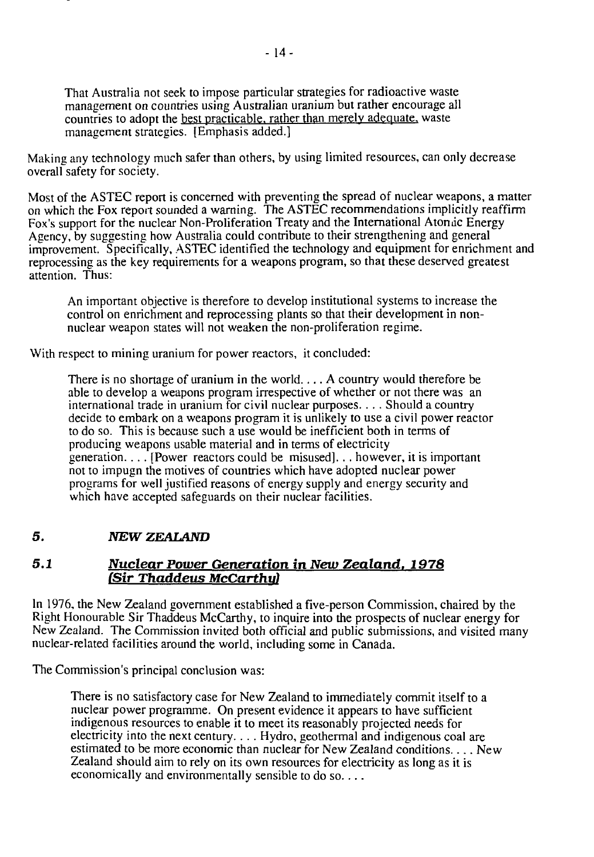That Australia not seek to impose particular strategies for radioactive waste management on countries using Australian uranium but rather encourage all countries to adopt the best practicable, rather than merely adequate, waste management strategies. [Emphasis added.]

Making any technology much safer than others, by using limited resources, can only decrease overall safety for society.

Most of the ASTEC report is concerned with preventing the spread of nuclear weapons, a matter on which the Fox report sounded a warning. The ASTEC recommendations implicitly reaffirm Fox's support for the nuclear Non-Proliferation Treaty and the International Atomic Energy Agency, by suggesting how Australia could contribute to their strengthening and general improvement. Specifically, ASTEC identified the technology and equipment for enrichment and reprocessing as the key requirements for a weapons program, so that these deserved greatest attention. Thus:

An important objective is therefore to develop institutional systems to increase the control on enrichment and reprocessing plants so that their development in nonnuclear weapon states will not weaken the non-proliferation regime.

With respect to mining uranium for power reactors, it concluded:

There is no shortage of uranium in the world.... A country would therefore be able to develop a weapons program irrespective of whether or not there was an international trade in uranium for civil nuclear purposes.. .. Should a country decide to embark on a weapons program it is unlikely to use a civil power reactor to do so. This is because such a use would be inefficient both in terms of producing weapons usable material and in terms of electricity generation.... [Power reactors could be misused]... however, it is important not to impugn the motives of countries which have adopted nuclear power programs for well justified reasons of energy supply and energy security and which have accepted safeguards on their nuclear facilities.

## *5. NEW ZEALAND*

#### *5.1 Nuclear Power Generation in New Zealand. 1978 (Sir Thaddeus McCarthy)*

In 1976, the New Zealand government established a five-person Commission, chaired by the Right Honourable Sir Thaddeus McCarthy, to inquire into the prospects of nuclear energy for New Zealand. The Commission invited both official and public submissions, and visited many nuclear-related facilities around the world, including some in Canada.

The Commission's principal conclusion was:

There is no satisfactory case for New Zealand to immediately commit itself to a nuclear power programme. On present evidence it appears to have sufficient indigenous resources to enable it to meet its reasonably projected needs for electricity into the next century.. .. Hydro, geothermal and indigenous coal are estimated to be more economic than nuclear for New Zealand conditions.... New Zealand should aim to rely on its own resources for electricity as long as it is economically and environmentally sensible to do so... .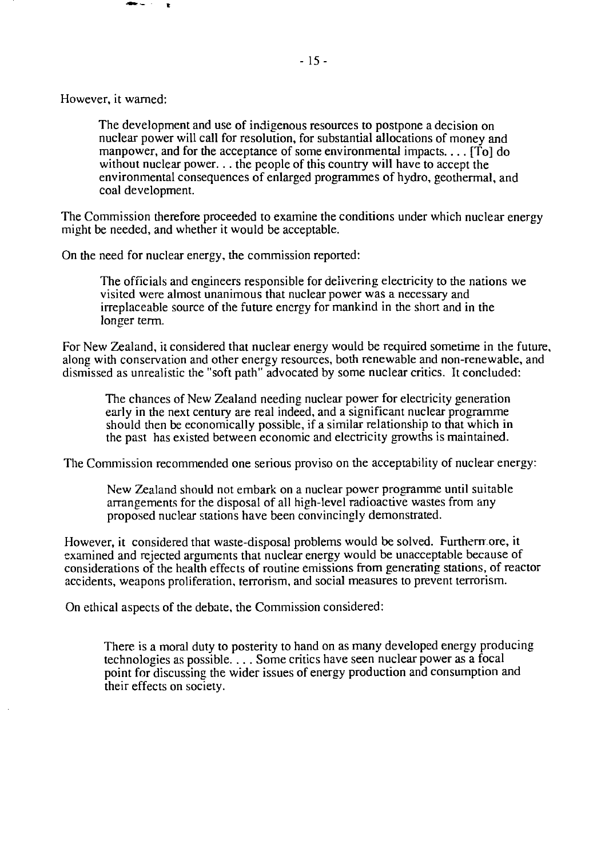The development and use of indigenous resources to postpone a decision on nuclear power will call for resolution, for substantial allocations of money and manpower, and for the acceptance of some environmental impacts.... [To] do without nuclear power... the people of this country will have to accept the environmental consequences of enlarged programmes of hydro, geothermal, and coal development.

The Commission therefore proceeded to examine the conditions under which nuclear energy might be needed, and whether it would be acceptable.

On the need for nuclear energy, the commission reported:

The officials and engineers responsible for delivering electricity to the nations we visited were almost unanimous that nuclear power was a necessary and irreplaceable source of the future energy for mankind in the short and in the longer term.

For New Zealand, it considered that nuclear energy would be required sometime in the future, along with conservation and other energy resources, both renewable and non-renewable, and dismissed as unrealistic the "soft path" advocated by some nuclear critics. It concluded:

The chances of New Zealand needing nuclear power for electricity generation early in the next century are real indeed, and a significant nuclear programme should then be economically possible, if a similar relationship to that which in the past has existed between economic and electricity growths is maintained.

The Commission recommended one serious proviso on the acceptability of nuclear energy:

New Zealand should not embark on a nuclear power programme until suitable arrangements for the disposal of all high-level radioactive wastes from any proposed nuclear stations have been convincingly demonstrated.

However, it considered that waste-disposal problems would be solved. Furthermore, it examined and rejected arguments that nuclear energy would be unacceptable because of considerations of the health effects of routine emissions from generating stations, of reactor accidents, weapons proliferation, terrorism, and social measures to prevent terrorism.

On ethical aspects of the debate, the Commission considered:

There is a moral duty to posterity to hand on as many developed energy producing technologies as possible.... Some critics have seen nuclear power as a focal point for discussing the wider issues of energy production and consumption and their effects on society.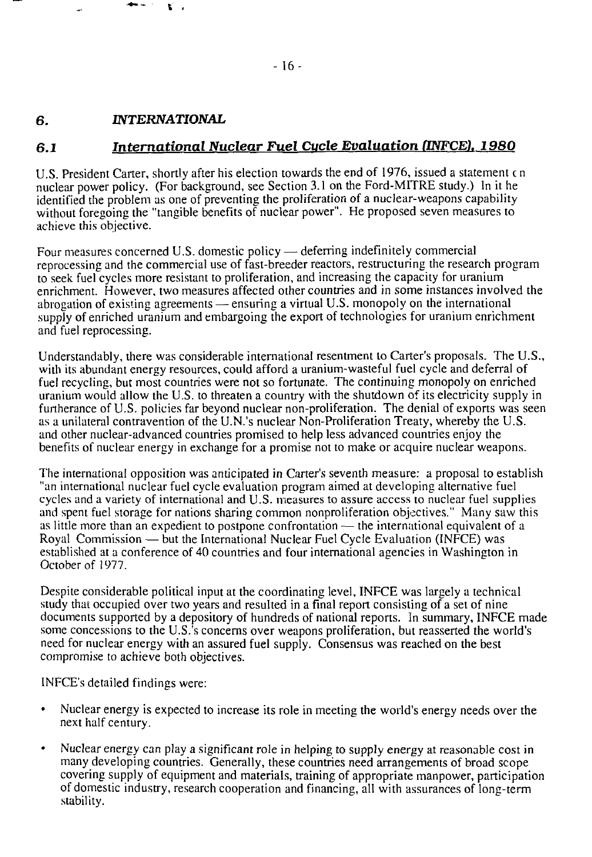#### **6.** *INTERNATIONAL*

**t .**

# *6.1 International Nuclear Fuel Cucle Evaluation (INFCEl 1980*

U.S. President Carter, shortly after his election towards the end of 1976, issued a statement c n nuclear power policy. (For background, see Section 3.1 on the Ford-MITRE study.) In it he identified the problem as one of preventing the proliferation of a nuclear-weapons capability without foregoing the "tangible benefits of nuclear power". He proposed seven measures to achieve this objective.

Four measures concerned U.S. domestic policy — deferring indefinitely commercial reprocessing and the commercial use of fast-breeder reactors, restructuring the research program to seek, fuel cycles more resistant to proliferation, and increasing the capacity for uranium enrichment. However, two measures affected other countries and in some instances involved the abrogation of existing agreements — ensuring a virtual U.S. monopoly on the international supply of enriched uranium and embargoing the export of technologies for uranium enrichment and fuel reprocessing.

Understandably, there was considerable international resentment to Carter's proposals. The U.S., with its abundant energy resources, could afford a uranium-wasteful fuel cycle and deferral of fuel recycling, but most countries were not so fortunate. The continuing monopoly on enriched uranium would allow the U.S. to threaten a country with the shutdown of its electricity supply in furtherance of U.S. policies far beyond nuclear non-proliferation. The denial of exports was seen as a unilateral contravention of the U.N.'s nuclear Non-Proliferation Treaty, whereby the U.S. and other nuclear-advanced countries promised to help less advanced countries enjoy the benefits of nuclear energy in exchange for a promise not to make or acquire nuclear weapons.

The international opposition was anticipated in Carter's seventh measure: a proposal to establish "an international nuclear fuel cycle evaluation program aimed at developing alternative fuel cycles and a variety of international and U.S. measures to assure access to nuclear fuel supplies and spent fuel storage for nations sharing common nonproliferation objectives." Many saw this as little more than an expedient to postpone confrontation — the international equivalent of a Royal Commission — but the International Nuclear Fuel Cycle Evaluation (INFCE) was established at a conference of 40 countries and four international agencies in Washington in October of 1977.

Despite considerable political input at the coordinating level, INFCE was largely a technical study that occupied over two years and resulted in a final report consisting of a set of nine documents supported by a depository of hundreds of national reports. In summary, INFCE made some concessions to the U.S.'s concerns over weapons proliferation, but reasserted the world's need for nuclear energy with an assured fuel supply. Consensus was reached on the best compromise to achieve both objectives.

INFCE's detailed findings were:

- Nuclear energy is expected to increase its role in meeting the world's energy needs over the next half century.
- Nuclear energy can play a significant role in helping to supply energy at reasonable cost in many developing countries. Generally, these countries need arrangements of broad scope covering supply of equipment and materials, training of appropriate manpower, participation of domestic industry, research cooperation and financing, all with assurances of long-term stability.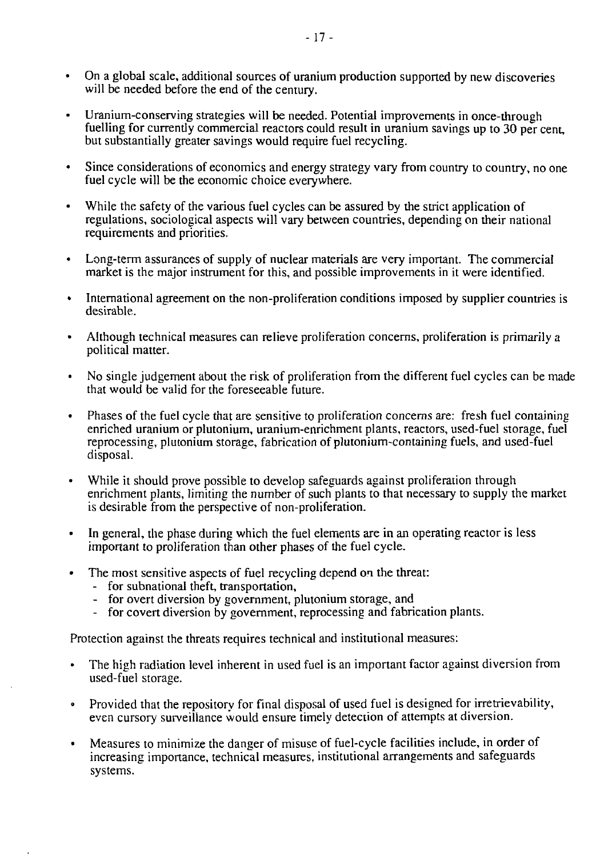- On a global scale, additional sources of uranium production supported by new discoveries will be needed before the end of the century.
- Uranium-conserving strategies will be needed. Potential improvements in once-through fuelling for currently commercial reactors could result in uranium savings up to 30 per cent, but substantially greater savings would require fuel recycling.
- Since considerations of economics and energy strategy vary from country to country, no one fuel cycle will be the economic choice everywhere.
- While the safety of the various fuel cycles can be assured by the strict application of regulations, sociological aspects will vary between countries, depending on their national requirements and priorities.
- Long-term assurances of supply of nuclear materials are very important. The commercial market is the major instrument for this, and possible improvements in it were identified.
- International agreement on the non-proliferation conditions imposed by supplier countries is desirable.
- Although technical measures can relieve proliferation concerns, proliferation is primarily a political matter.
- No single judgement about the risk of proliferation from the different fuel cycles can be made that would be valid for the foreseeable future.
- Phases of the fuel cycle that are sensitive to proliferation concerns are: fresh fuel containing enriched uranium or plutonium, uranium-enrichment plants, reactors, used-fuel storage, fuel reprocessing, plutonium storage, fabrication of plutonium-containing fuels, and used-fuel disposal.
- While it should prove possible to develop safeguards against proliferation through enrichment plants, limiting the number of such plants to that necessary to supply the market is desirable from the perspective of non-proliferation.
- In general, the phase during which the fuel elements are in an operating reactor is less important to proliferation than other phases of the fuel cycle.
- The most sensitive aspects of fuel recycling depend on the threat:
	- for subnational theft, transportation,
	- for overt diversion by government, plutonium storage, and
	- for covert diversion by government, reprocessing and fabrication plants.

Protection against the threats requires technical and institutional measures:

- The high radiation level inherent in used fuel is an important factor against diversion from used-fuel storage.
- Provided that the repository for final disposal of used fuel is designed for irretrievability, even cursory surveillance would ensure timely detection of attempts at diversion.
- Measures to minimize the danger of misuse of fuel-cycle facilities include, in order of increasing importance, technical measures, institutional arrangements and safeguards systems.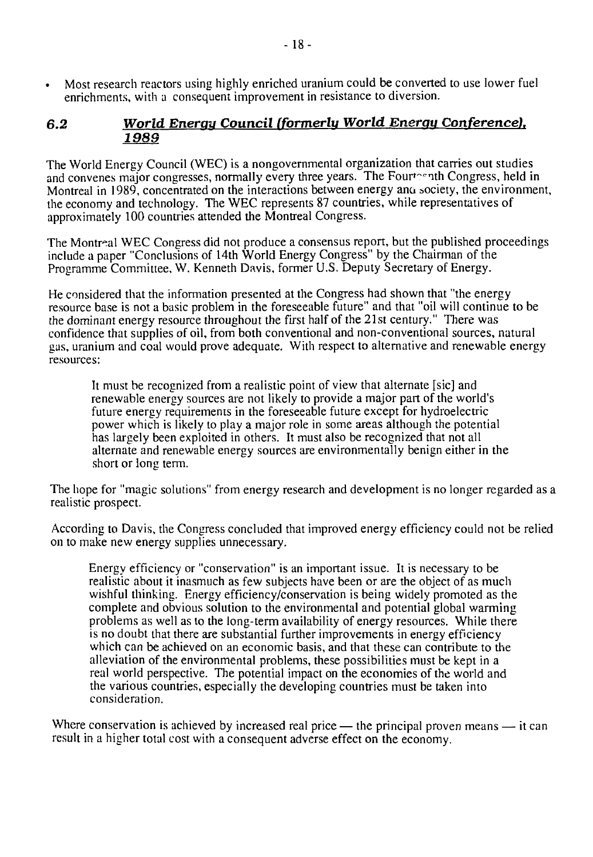• Most research reactors using highly enriched uranium could be converted to use lower fuel enrichments, with a consequent improvement in resistance to diversion.

# *6.2 World Enerau Council (formerlu World Energy Conference). 1989*

The World Energy Council (WEC) is a nongovernmental organization that carries out studies and convenes major congresses, normally every three years. The Fourteenth Congress, held in Montreal in 1989, concentrated on the interactions between energy ana society, the environment, the economy and technology. The WEC represents 87 countries, while representatives of approximately 100 countries attended the Montreal Congress.

The Montreal WEC Congress did not produce a consensus report, but the published proceedings include a paper "Conclusions of 14th World Energy Congress" by the Chairman of the Programme Committee, W. Kenneth Davis, former U.S. Deputy Secretary of Energy.

He considered that the information presented at the Congress had shown that "the energy resource base is not a basic problem in the foreseeable future" and that "oil will continue to be the dominant energy resource throughout the first half of the 21st century." There was confidence that supplies of oil, from both conventional and non-conventional sources, natural gas, uranium and coal would prove adequate. With respect to alternative and renewable energy resources:

It must be recognized from a realistic point of view that alternate [sic] and renewable energy sources are not likely to provide a major part of the world's future energy requirements in the foreseeable future except for hydroelectric power which is likely to play a major role in some areas although the potential has largely been exploited in others. It must also be recognized that not all alternate and renewable energy sources are environmentally benign either in the short or long term.

The hope for "magic solutions" from energy research and development is no longer regarded as a realistic prospect.

According to Davis, the Congress concluded that improved energy efficiency could not be relied on to make new energy supplies unnecessary.

Energy efficiency or "conservation" is an important issue. It is necessary to be realistic about it inasmuch as few subjects have been or are the object of as much wishful thinking. Energy efficiency/conservation is being widely promoted as the complete and obvious solution to the environmental and potential global warming problems as well as to the long-term availability of energy resources. While there is no doubt that there are substantial further improvements in energy efficiency which can be achieved on an economic basis, and that these can contribute to the alleviation of the environmental problems, these possibilities must be kept in a real world perspective. The potential impact on the economies of the world and the various countries, especially the developing countries must be taken into consideration.

Where conservation is achieved by increased real price — the principal proven means — it can result in a higher total cost with a consequent adverse effect on the economy.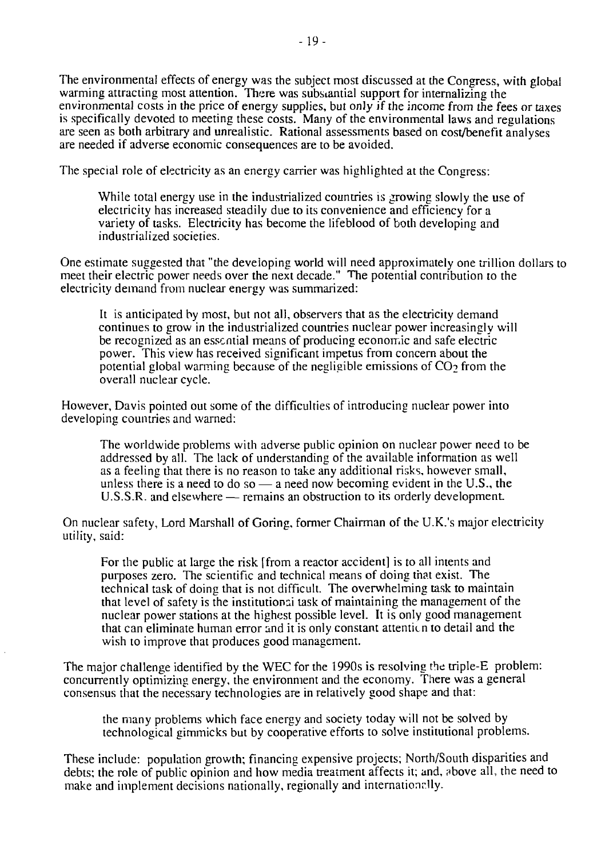The environmental effects of energy was the subject most discussed at the Congress, with global warming attracting most attention. There was substantial support for internalizing the environmental costs in the price of energy supplies, but only if the income from the fees or taxes is specifically devoted to meeting these costs. Many of the environmental laws and regulations are seen as both arbitrary and unrealistic. Rational assessments based on cost/benefit analyses are needed if adverse economic consequences are to be avoided.

The special role of electricity as an energy carrier was highlighted at the Congress:

While total energy use in the industrialized countries is growing slowly the use of electricity has increased steadily due to its convenience and efficiency for a variety of tasks. Electricity has become the lifeblood of both developing and industrialized societies.

One estimate suggested that "the developing world will need approximately one trillion dollars to meet their electric power needs over the next decade." The potential contribution to the electricity demand from nuclear energy was summarized:

It is anticipated by most, but not all, observers that as the electricity demand continues to grow in the industrialized countries nuclear power increasingly will be recognized as an essential means of producing economic and safe electric power. This view has received significant impetus from concern about the potential global warming because of the negligible emissions of  $CO<sub>2</sub>$  from the overall nuclear cycle.

However, Davis pointed out some of the difficulties of introducing nuclear power into developing countries and warned:

The worldwide problems with adverse public opinion on nuclear power need to be addressed by all. The lack of understanding of the available information as well as a feeling that there is no reason to take any additional risks, however small, unless there is a need to do so  $-$  a need now becoming evident in the U.S., the U.S.S.R. and elsewhere — remains an obstruction to its orderly development

On nuclear safety, Lord Marshall of Goring, former Chairman of the U.K.'s major electricity utility, said:

For the public at large the risk [from a reactor accident] is to all intents and purposes zero. The scientific and technical means of doing that exist. The technical task of doing that is not difficult. The overwhelming task to maintain that level of safety is the institutional task of maintaining the management of the nuclear power stations at the highest possible level. It is only good management that can eliminate human error and it is only constant attention to detail and the wish to improve that produces good management.

The major challenge identified by the WEC for the 1990s is resolving the triple-E problem: concurrently optimizing energy, the environment and the economy. There was a general consensus that the necessary technologies are in relatively good shape and that:

the many problems which face energy and society today will not be solved by technological gimmicks but by cooperative efforts to solve institutional problems.

These include: population growth; financing expensive projects; North/South disparities and debts; the role of public opinion and how media treatment affects it; and, above all, the need to make and implement decisions nationally, regionally and internationally.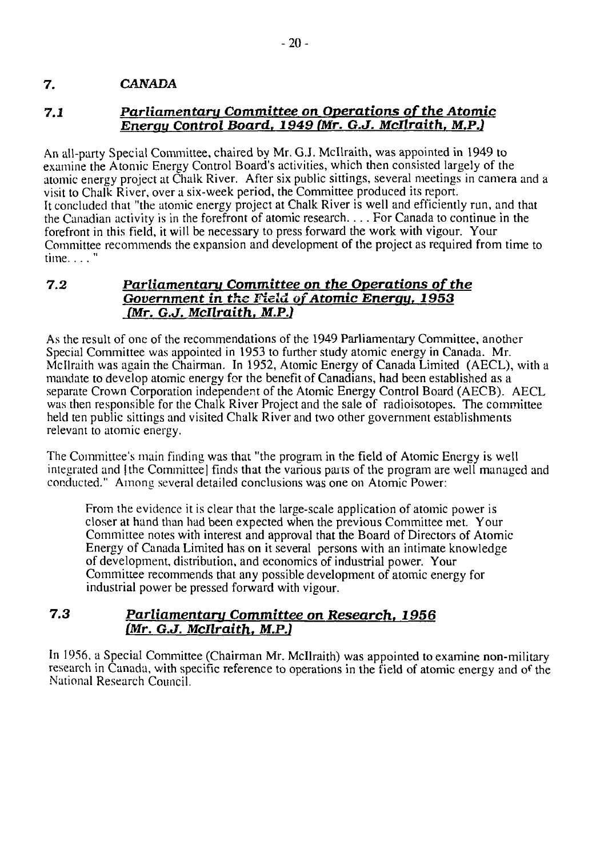# 7. **CANADA**

# **7.1** *Parliamentaru Committee on Operations of the Atomic Enerau Control Board. 1949 (Mr. G.J. Mcllraith. M.P.)*

An all-party Special Committee, chaired by Mr. G.J. Mcllraith, was appointed in 1949 to examine the Atomic Energy Control Board's activities, which then consisted largely of the atomic energy project at Chalk River. After six public sittings, several meetings in camera and a visit to Chalk River, over a six-week period, the Committee produced its report. It concluded that "the atomic energy project at Chalk River is well and efficiently run, and that the Canadian activity is in the forefront of atomic research.... For Canada to continue in the forefront in this field, it will be necessary to press forward the work with vigour. Your Committee recommends the expansion and development of the project as required from time to time... $"$ 

#### **7.2** *Parliamentary Committee on the Operations of the Government in the Field of Atomic Enerau, 1953 {Mr. G.J. Mcllraith. M.P.)*

As the result of one of the recommendations of the 1949 Parliamentary Committee, another Special Committee was appointed in 1953 to further study atomic energy in Canada. Mr. Mcllraith was again the Chairman. In 1952, Atomic Energy of Canada Limited (AECL), with a mandate to develop atomic energy for the benefit of Canadians, had been established as a separate Crown Corporation independent of the Atomic Energy Control Board (AECB). AECL was then responsible for the Chalk River Project and the sale of radioisotopes. The committee held ten public sittings and visited Chalk River and two other government establishments relevant to atomic energy.

The Committee's main finding was that "the program in the field of Atomic Energy is well integrated and |the Committee] finds that the various parts of the program are well managed and conducted." Among several detailed conclusions was one on Atomic Power:

From the evidence it is clear that the large-scale application of atomic power is closer at hand than had been expected when the previous Committee met. Your Committee notes with interest and approval that the Board of Directors of Atomic-Energy of Canada Limited has on it several persons with an intimate knowledge of development, distribution, and economics of industrial power. Your Committee recommends that any possible development of atomic energy for industrial power be pressed forward with vigour.

# **7.3** *Parliamentary Committee on Research. 1956 (Mr. G.J. Mcllraith. M.P.1*

In 1956, a Special Committee (Chairman Mr. Mcllraith) was appointed to examine non-military research in Canada, with specific reference to operations in the field of atomic energy and of the National Research Council.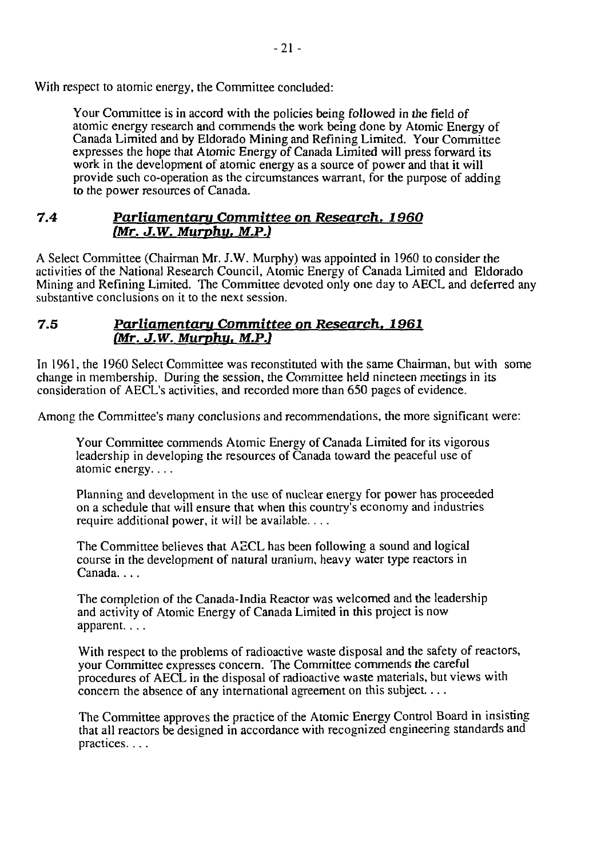With respect to atomic energy, the Committee concluded:

Your Committee is in accord with the policies being followed in the field of atomic energy research and commends the work being done by Atomic Energy of Canada Limited and by Eldorado Mining and Refining Limited. Your Committee expresses the hope that Atomic Energy of Canada Limited will press forward its work in the development of atomic energy as a source of power and that it will provide such co-operation as the circumstances warrant, for the purpose of adding to the power resources of Canada.

# **7.4** *Parliamentaru Committee on Research, 1960 (Mr. J.W. Murphy, M.P.)*

A Select Committee (Chairman Mr. J.W. Murphy) was appointed in 1960 to consider the activities of the National Research Council, Atomic Energy of Canada Limited and Eldorado Mining and Refining Limited. The Committee devoted only one day to AECL and deferred any substantive conclusions on it to the next session.

### **7.5** *Parliamentaru Committee on Research. 1961 (Mr. J.W. Murphu. M.P.)*

In 1961, the 1960 Select Committee was reconstituted with the same Chairman, but with some change in membership. During the session, the Committee held nineteen meetings in its consideration of AECL's activities, and recorded more than 650 pages of evidence.

Among the Committee's many conclusions and recommendations, the more significant were:

Your Committee commends Atomic Energy of Canada Limited for its vigorous leadership in developing the resources of Canada toward the peaceful use of atomic energy....

Planning and development in the use of nuclear energy for power has proceeded on a schedule that will ensure that when this country's economy and industries require additional power, it will be available.. . .

The Committee believes that AECL has been following a sound and logical course in the development of natural uranium, heavy water type reactors in Canada...

The completion of the Canada-India Reactor was welcomed and the leadership and activity of Atomic Energy of Canada Limited in this project is now apparent....

With respect to the problems of radioactive waste disposal and the safety of reactors, your Committee expresses concern. The Committee commends the careful procedures of AECL in the disposal of radioactive waste materials, but views with concern the absence of any international agreement on this subject....

The Committee approves the practice of the Atomic Energy Control Board in insisting that all reactors be designed in accordance with recognized engineering standards and practices....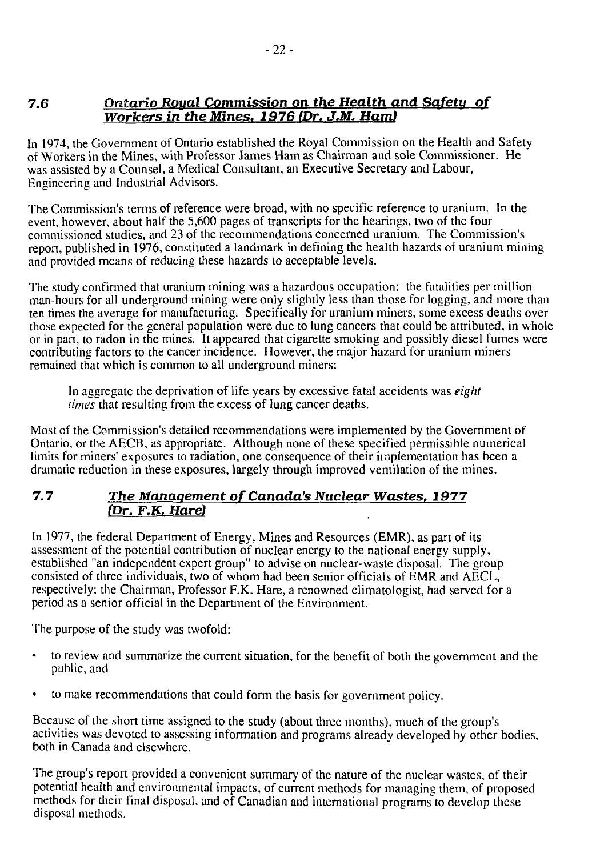# **7.6** *Ontario Roual Commission on the Health and Safety of Workers in the Mines. 1976 (Dr. J.M. Ham)*

In 1974, the Government of Ontario established the Royal Commission on the Health and Safety of Workers in the Mines, with Professor James Ham as Chairman and sole Commissioner. He was assisted by a Counsel, a Medical Consultant, an Executive Secretary and Labour, Engineering and Industrial Advisors.

The Commission's terms of reference were broad, with no specific reference to uranium. In the event, however, about half the 5,600 pages of transcripts for the hearings, two of the four commissioned studies, and 23 of the recommendations concerned uranium. The Commission's report, published in 1976, constituted a landmark in defining the health hazards of uranium mining and provided means of reducing these hazards to acceptable levels.

The study confirmed that uranium mining was a hazardous occupation: the fatalities per million man-hours for all underground mining were only slightly less than those for logging, and more than ten times the average for manufacturing. Specifically for uranium miners, some excess deaths over those expected for the general population were due to lung cancers that could be attributed, in whole or in part, to radon in the mines. It appeared that cigarette smoking and possibly diesel fumes were contributing factors to the cancer incidence. However, the major hazard for uranium miners remained that which is common to all underground miners:

In aggregate the deprivation of life years by excessive fatal accidents was *eight times* that resulting from the excess of lung cancer deaths.

Most of the Commission's detailed recommendations were implemented by the Government of Ontario, or the AECB, as appropriate. Although none of these specified permissible numerical limits for miners' exposures to radiation, one consequence of their implementation has been a dramatic reduction in these exposures, largely through improved ventilation of the mines.

# **7.7** *The Management of Canada's Nuclear Wastes. 1977 (Dr. F.K. Hare)*

In 1977, the federal Department of Energy, Mines and Resources (EMR), as part of its assessment of the potential contribution of nuclear energy to the national energy supply, established "an independent expert group" to advise on nuclear-waste disposal. The group consisted of three individuals, two of whom had been senior officials of EMR and AECL, respectively; the Chairman, Professor F.K. Hare, a renowned climatologist, had served for a period as a senior official in the Department of the Environment.

The purpose of the study was twofold:

- to review and summarize the current situation, for the benefit of both the government and the public, and
- to make recommendations that could form the basis for government policy.

Because of the short time assigned to the study (about three months), much of the group's activities was devoted to assessing information and programs already developed by other bodies, both in Canada and elsewhere.

The group's report provided a convenient summary of the nature of the nuclear wastes, of their potential health and environmental impacts, of current methods for managing them, of proposed methods for their final disposal, and of Canadian and international programs to develop these disposal methods.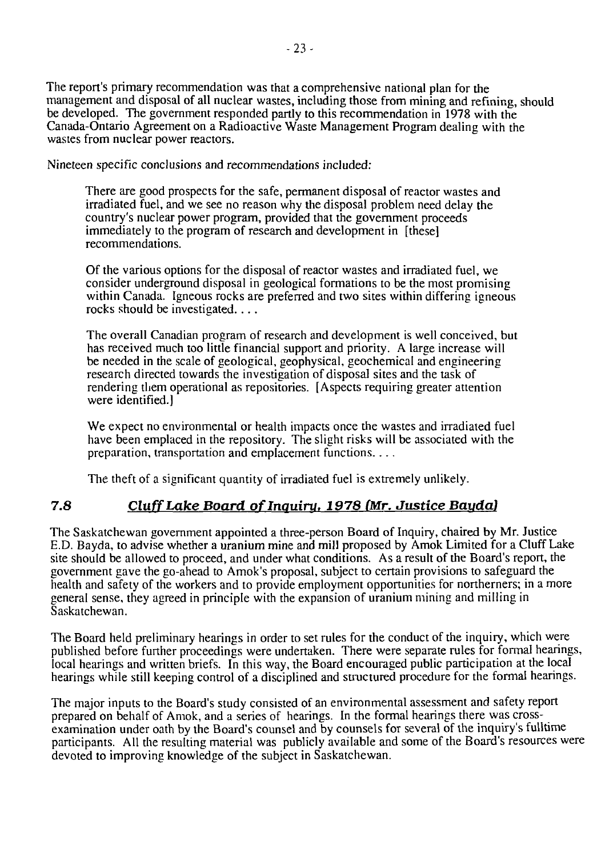The report's primary recommendation was that a comprehensive national plan for the management and disposal of all nuclear wastes, including those from mining and refining, should be developed. The government responded partly to this recommendation in 1978 with the Canada-Ontario Agreement on a Radioactive Waste Management Program dealing with the wastes from nuclear power reactors.

Nineteen specific conclusions and recommendations included:

There are good prospects for the safe, permanent disposal of reactor wastes and irradiated fuel, and we see no reason why the disposal problem need delay the country's nuclear power program, provided that the government proceeds immediately to the program of research and development in [these] recommendations.

Of the various options for the disposal of reactor wastes and irradiated fuel, we consider underground disposal in geological formations to be the most promising within Canada. Igneous rocks are preferred and two sites within differing igneous rocks should be investigated. .. .

The overall Canadian program of research and development is well conceived, but has received much too little financial support and priority. A large increase will be needed in the scale of geological, geophysical, geochemical and engineering research directed towards the investigation of disposal sites and the task of rendering them operational as repositories. [Aspects requiring greater attention were identified.]

We expect no environmental or health impacts once the wastes and irradiated fuel have been emplaced in the repository. The slight risks will be associated with the preparation, transportation and emplacement functions....

The theft of a significant quantity of irradiated fuel is extremely unlikely.

# **7.8** *CluffLake Board oflnquiru. 1978 (Mr. Justice Bauda)*

The Saskatchewan government appointed a three-person Board of Inquiry, chaired by Mr. Justice E.D. Bayda, to advise whether a uranium mine and mill proposed by Amok Limited for a Cluff Lake site should be allowed to proceed, and under what conditions. As a result of the Board's report, the government gave the go-ahead to Amok's proposal, subject to certain provisions to safeguard the health and safety of the workers and to provide employment opportunities for northerners; in a more general sense, they agreed in principle with the expansion of uranium mining and milling in Saskatchewan.

The Board held preliminary hearings in order to set rules for the conduct of the inquiry, which were published before further proceedings were undertaken. There were separate rules for formal hearings, local hearings and written briefs. In this way, the Board encouraged public participation at the local hearings while still keeping control of a disciplined and structured procedure for the formal hearings.

The major inputs to the Board's study consisted of an environmental assessment and safety report prepared on behalf of Amok, and a series of hearings. In the formal hearings there was crossexamination under oath by the Board's counsel and by counsels for several of the inquiry's fulltime participants. All the resulting material was publicly available and some of the Board's resources were devoted to improving knowledge of the subject in Saskatchewan.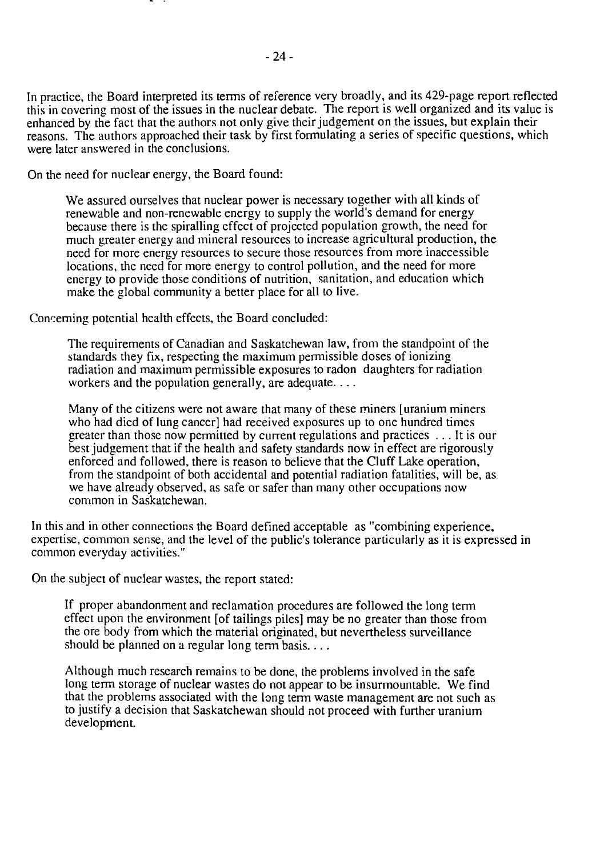In practice, the Board interpreted its terms of reference very broadly, and its 429-page report reflected this in covering most of the issues in the nuclear debate. The report is well organized and its value is enhanced by the fact that the authors not only give their judgement on the issues, but explain their reasons. The authors approached their task by first formulating a series of specific questions, which were later answered in the conclusions.

On the need for nuclear energy, the Board found:

We assured ourselves that nuclear power is necessary together with all kinds of renewable and non-renewable energy to supply the world's demand for energy because there is the spiralling effect of projected population growth, the need for much greater energy and mineral resources to increase agricultural production, the need for more energy resources to secure those resources from more inaccessible locations, the need for more energy to control pollution, and the need for more energy to provide those conditions of nutrition, sanitation, and education which make the global community a better place for all to live.

Concerning potential health effects, the Board concluded:

The requirements of Canadian and Saskatchewan law, from the standpoint of the standards they fix, respecting the maximum permissible doses of ionizing radiation and maximum permissible exposures to radon daughters for radiation workers and the population generally, are adequate....

Many of the citizens were not aware that many of these miners [uranium miners who had died of lung cancer] had received exposures up to one hundred times greater than those now permitted by current regulations and practices .. . It is our best judgement that if the health and safety standards now in effect are rigorously enforced and followed, there is reason to believe that the Cluff Lake operation, from the standpoint of both accidental and potential radiation fatalities, will be, as we have already observed, as safe or safer than many other occupations now common in Saskatchewan.

In this and in other connections the Board defined acceptable as "combining experience, expertise, common sense, and the level of the public's tolerance particularly as it is expressed in common everyday activities."

On the subject of nuclear wastes, the report stated:

If proper abandonment and reclamation procedures are followed the long term effect upon the environment [of tailings piles] may be no greater than those from the ore body from which the material originated, but nevertheless surveillance should be planned on a regular long term basis....

Although much research remains to be done, the problems involved in the safe long term storage of nuclear wastes do not appear to be insurmountable. We find that the problems associated with the long term waste management are not such as to justify a decision that Saskatchewan should not proceed with further uranium development.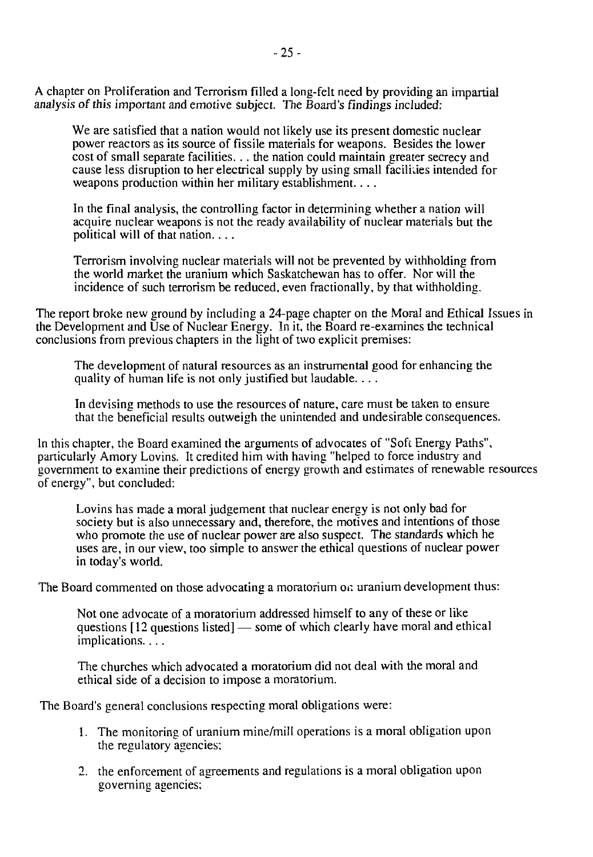A chapter on Proliferation and Terrorism filled a long-felt need by providing an impartial analysis of this important and emotive subject. The Board's findings included:

We are satisfied that a nation would not likely use its present domestic nuclear power reactors as its source of fissile materials for weapons. Besides the lower cost of small separate facilities. .. the nation could maintain greater secrecy and cause less disruption to her electrical supply by using small facilities intended for weapons production within her military establishment....

In the final analysis, the controlling factor in determining whether a nation will acquire nuclear weapons is not the ready availability of nuclear materials but the political will of that nation....

Terrorism involving nuclear materials will not be prevented by withholding from the world market the uranium which Saskatchewan has to offer. Nor will the incidence of such terrorism be reduced, even fractionally, by that withholding.

The report broke new ground by including a 24-page chapter on the Moral and Ethical Issues in the Development and Use of Nuclear Energy. In it, the Board re-examines the technical conclusions from previous chapters in the light of two explicit premises:

The development of natural resources as an instrumental good for enhancing the quality of human life is not only justified but laudable....

In devising methods to use the resources of nature, care must be taken to ensure that the beneficial results outweigh the unintended and undesirable consequences.

In this chapter, the Board examined the arguments of advocates of "Soft Energy Paths", particularly Amory Lovins. It credited him with having "helped to force industry and government to examine their predictions of energy growth and estimates of renewable resources of energy", but concluded:

Lovins has made a moral judgement that nuclear energy is not only bad for society but is also unnecessary and, therefore, the motives and intentions of those who promote the use of nuclear power are also suspect. The standards which he uses are, in our view, too simple to answer the ethical questions of nuclear power in today's world.

The Board commented on those advocating a moratorium on uranium development thus:

Not one advocate of a moratorium addressed himself to any of these or like questions [12 questions listed] — some of which clearly have moral and ethical implications....

The churches which advocated a moratorium did not deal with the moral and ethical side of a decision to impose a moratorium.

The Board's general conclusions respecting moral obligations were:

- 1. The monitoring of uranium mine/mill operations is a moral obligation upon the regulatory agencies;
- 2. the enforcement of agreements and regulations is a moral obligation upon governing agencies: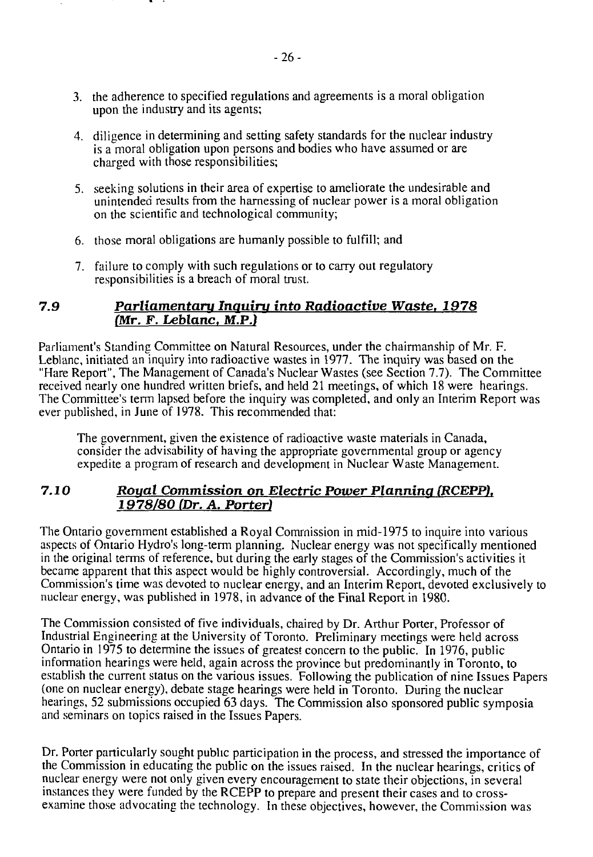- 3. the adherence to specified regulations and agreements is a moral obligation upon the industry and its agents;
- 4. diligence in determining and setting safety standards for the nuclear industry is a moral obligation upon persons and bodies who have assumed or are charged with those responsibilities;
- 5. seeking solutions in their area of expertise to ameliorate the undesirable and unintended results from the harnessing of nuclear power is a moral obligation on the scientific and technological community;
- 6. those moral obligations are humanly possible to fulfill; and
- 7. failure to comply with such regulations or to carry out regulatory responsibilities is a breach of moral trust.

### *7.9 Parliamentary Inquiry into Radioactive Waste. 1978 (Mr. F. Leblanc. M.P.)*

Parliament's Standing Committee on Natural Resources, under the chairmanship of Mr. F. Leblanc, initiated an inquiry into radioactive wastes in 1977. The inquiry was based on the "Hare Report", The Management of Canada's Nuclear Wastes (see Section 7.7). The Committee received nearly one hundred written briefs, and held 21 meetings, of which 18 were hearings. The Committee's term lapsed before the inquiry was completed, and only an Interim Report was ever published, in June of 1978. This recommended that:

The government, given the existence of radioactive waste materials in Canada, consider the advisability of having the appropriate governmental group or agency expedite a program of research and development in Nuclear Waste Management.

### **7.10** *Royal Commission on Electric Power Planning IRCEPP). 1978/80 (Dr. A. Porter)*

The Ontario government established a Royal Commission in mid-1975 to inquire into various aspects of Ontario Hydro's long-term planning. Nuclear energy was not specifically mentioned in the original terms of reference, but during the early stages of the Commission's activities it became apparent that this aspect would be highly controversial. Accordingly, much of the Commission's time was devoted to nuclear energy, and an Interim Report, devoted exclusively to nuclear energy, was published in 1978, in advance of the Final Report in 1980.

The Commission consisted of five individuals, chaired by Dr. Arthur Porter, Professor of Industrial Engineering at the University of Toronto. Preliminary meetings were held across Ontario in 1975 to determine the issues of greatest concern to the public. In 1976, public information hearings were held, again across the province but predominantly in Toronto, to establish the current status on the various issues. Following the publication of nine Issues Papers (one on nuclear energy), debate stage hearings were held in Toronto. During the nuclear hearings, 52 submissions occupied 63 days. The Commission also sponsored public symposia and seminars on topics raised in the Issues Papers.

Dr. Porter particularly sought public participation in the process, and stressed the importance of the Commission in educating the public on the issues raised. In the nuclear hearings, critics of nuclear energy were not only given every encouragement to state their objections, in several instances they were funded by the RCEPP to prepare and present their cases and to crossexamine those advocating the technology. In these objectives, however, the Commission was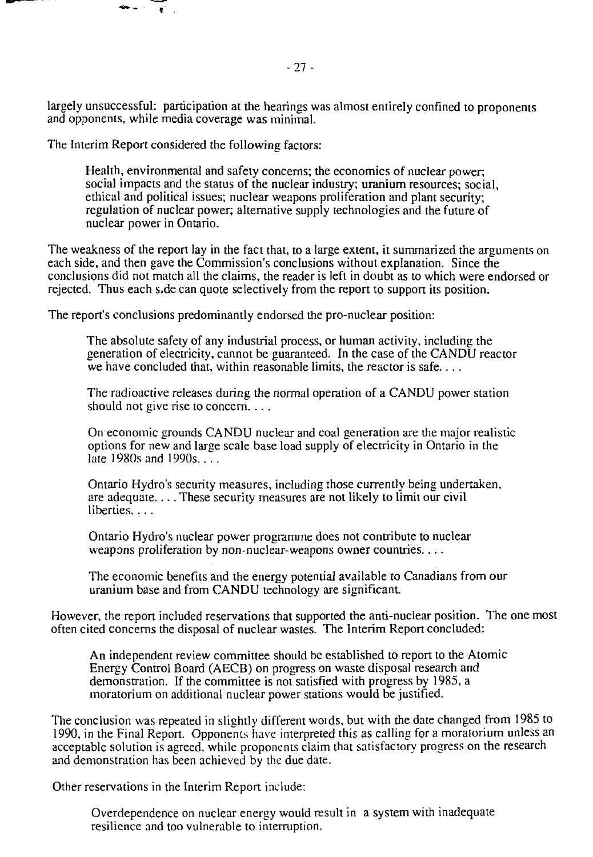largely unsuccessful: participation at the hearings was almost entirely confined to proponents and opponents, while media coverage was minimal.

The Interim Report considered the following factors:

 $\frac{1}{2} \sum_{i=1}^{n} \frac{1}{2} \sum_{i=1}^{n} \frac{1}{2} \sum_{i=1}^{n} \frac{1}{2} \sum_{i=1}^{n} \frac{1}{2} \sum_{i=1}^{n} \frac{1}{2} \sum_{i=1}^{n} \frac{1}{2} \sum_{i=1}^{n} \frac{1}{2} \sum_{i=1}^{n} \frac{1}{2} \sum_{i=1}^{n} \frac{1}{2} \sum_{i=1}^{n} \frac{1}{2} \sum_{i=1}^{n} \frac{1}{2} \sum_{i=1}^{n} \frac{1}{2} \sum_{i=1}^{n$ 

 $\mathbf{F}^{\mathbf{r}}$  .

Health, environmental and safety concerns; the economics of nuclear power; social impacts and the status of the nuclear industry; uranium resources; social, ethical and political issues; nuclear weapons proliferation and plant security; regulation of nuclear power; alternative supply technologies and the future of nuclear power in Ontario.

The weakness of the report lay in the fact that, to a large extent, it summarized the arguments on each side, and then gave the Commission's conclusions without explanation. Since the conclusions did not match all the claims, the reader is left in doubt as to which were endorsed or rejected. Thus each s.de can quote selectively from the report to support its position.

The report's conclusions predominantly endorsed the pro-nuclear position:

The absolute safety of any industrial process, or human activity, including the generation of electricity, cannot be guaranteed. In the case of the CANDU reactor we have concluded that, within reasonable limits, the reactor is safe....

The radioactive releases during the normal operation of a CANDU power station should not give rise to concern....

On economic grounds CANDU nuclear and coal generation are the major realistic options for new and large scale base load supply of electricity in Ontario in the late 1980s and 1990s.  $\ldots$ 

Ontario Hydro's security measures, including those currently being undertaken, are adequate. . .. These security measures are not likely to limit our civil liberties...

Ontario Hydro's nuclear power programme does not contribute to nuclear weapons proliferation by non-nuclear-weapons owner countries....

The economic benefits and the energy potential available to Canadians from our uranium base and from CANDU technology are significant

However, the report included reservations that supported the anti-nuclear position. The one most often cited concerns the disposal of nuclear wastes. The Interim Report concluded:

An independent review committee should be established to report to the Atomic Energy Control Board (AECB) on progress on waste disposal research and demonstration. If the committee is not satisfied with progress by 1985, a moratorium on additional nuclear power stations would be justified.

The conclusion was repeated in slightly different woids, but with the date changed from 1985 to 1990, in the Final Report. Opponents have interpreted this as calling fora moratorium unless an acceptable solution is agreed, while proponents claim that satisfactory progress on the research and demonstration has been achieved by the due date.

Other reservations in the Interim Report include:

Overdependence on nuclear energy would result in a system with inadequate resilience and too vulnerable to interruption.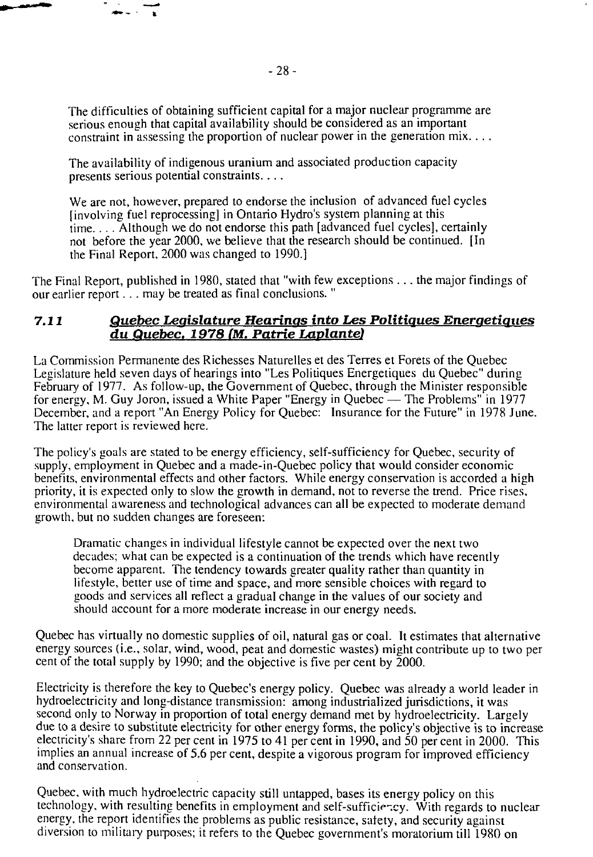The difficulties of obtaining sufficient capital for a major nuclear programme are serious enough that capital availability should be considered as an important constraint in assessing the proportion of nuclear power in the generation mix....

The availability of indigenous uranium and associated production capacity presents serious potential constraints....

We are not, however, prepared to endorse the inclusion of advanced fuel cycles [involving fuel reprocessing] in Ontario Hydro's system planning at this time.. . . Although we do not endorse this path [advanced fuel cycles], certainly not before the year 2000, we believe that the research should be continued. [In the Final Report, 2000 was changed to 1990.]

The Final Report, published in 1980, stated that "with few exceptions .. . the major findings of our earlier report... may be treated as final conclusions."

#### *7.11 Quebec Legislature Hearings into Les Politiques Energetiques du Quebec. 1978 (M. Patrie Laplante)*

La Commission Permanente des Richesses Naturelles et des Terres et Forets of the Quebec Legislature held seven days of hearings into "Les Politiques Energetiques du Quebec" during February of 1977. As follow-up, the Government of Quebec, through the Minister responsible for energy, M. Guy Joron, issued a White Paper "Energy in Quebec — The Problems" in 1977 December, and a report "An Energy Policy for Quebec: Insurance for the Future" in 1978 June. The latter report is reviewed here.

The policy's goals are stated to be energy efficiency, self-sufficiency for Quebec, security of supply, employment in Quebec and a made-in-Quebec policy that would consider economic benefits, environmental effects and other factors. While energy conservation is accorded a high priority, it is expected only to slow the growth in demand, not to reverse the trend. Price rises, environmental awareness and technological advances can all be expected to moderate demand growth, but no sudden changes are foreseen:

Dramatic changes in individual lifestyle cannot be expected over the next two decades; what can be expected is a continuation of the trends which have recently become apparent. The tendency towards greater quality rather than quantity in lifestyle, better use of time and space, and more sensible choices with regard to goods and services all reflect a gradual change in the values of our society and should account for a more moderate increase in our energy needs.

Quebec has virtually no domestic supplies of oil, natural gas or coal. It estimates that alternative energy sources (i.e., solar, wind, wood, peat and domestic wastes) might contribute up to two per cent of the total supply by 1990; and the objective is five per cent by 2000.

Electricity is therefore the key to Quebec's energy policy. Quebec was already a world leader in hydroelectricity and long-distance transmission: among industrialized jurisdictions, it was second only to Norway in proportion of total energy demand met by hydroelectricity. Largely due to a desire to substitute electricity for other energy forms, the policy's objective is to increase electricity's share from 22 per cent in 1975 to 41 per cent in 1990, and 50 per cent in 2000. This implies an annual increase of 5.6 per cent, despite a vigorous program for improved efficiency and conservation.

Quebec, with much hydroelectric capacity still untapped, bases its energy policy on this technology, with resulting benefits in employment and self-sufficie-.cy. With regards to nuclear energy, the report identifies the problems as public resistance, safety, and security against diversion to military puiposes; it refers to the Quebec government's moratorium till 1980 on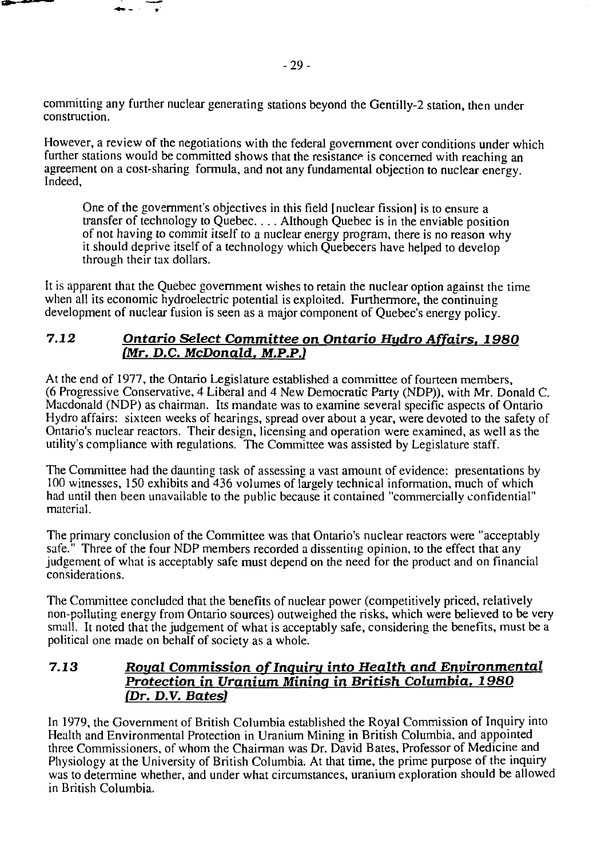committing any further nuclear generating stations beyond the Gentilly-2 station, then under construction.

However, a review of the negotiations with the federal government over conditions under which further stations would be committed shows that the resistance is concerned with reaching an agreement on a cost-sharing formula, and not any fundamental objection to nuclear energy. Indeed,

One of the government's objectives in this field [nuclear fission] is to ensure a transfer of technology to Quebec.... Although Quebec is in the enviable position of not having to commit itself to a nuclear energy program, there is no reason why it should deprive itself of a technology which Quebecers have helped to develop through their tax dollars.

It is apparent that the Quebec government wishes to retain the nuclear option against the time when all its economic hydroelectric potential is exploited. Furthermore, the continuing development of nuclear fusion is seen as a major component of Quebec's energy policy.

# *7.12 Ontario Select Committee on Ontario Hydro Affairs. 1980 (Mr. D.C. McDonald. M.P.P.)*

At the end of 1977, the Ontario Legislature established a committee of fourteen members, (6 Progressive Conservative, 4 Liberal and 4 New Democratic Party (NDP)), with Mr. Donald C. Macdonald (NDP) as chairman. Its mandate was to examine several specific aspects of Ontario Hydro affairs: sixteen weeks of hearings, spread over about a year, were devoted to the safety of Ontario's nuclear reactors. Their design, licensing and operation were examined, as well as the utility's compliance with regulations. The Committee was assisted by Legislature staff.

The Committee had the daunting task of assessing a vast amount of evidence: presentations by 100 witnesses, 150 exhibits and 436 volumes of largely technical information, much of which had until then been unavailable to the public because it contained "commercially confidential" material.

The primary conclusion of the Committee was that Ontario's nuclear reactors were "acceptably safe." Three of the four NDP members recorded a dissenting opinion, to the effect that any judgement of what is acceptably safe must depend on the need for the product and on financial considerations.

The Committee concluded that the benefits of nuclear power (competitively priced, relatively non-polluting energy from Ontario sources) outweighed the risks, which were believed to be very small. It noted that the judgement of what is acceptably safe, considering the benefits, must be a political one made on behalf of society as a whole.

# **7.13 Royal** *Commission of Inquiry into Health and Environmental Protection in Uranium Mining in British Columbia. 1980 (Dr. D.V. Bates]*

In 1979, the Government of British Columbia established the Royal Commission of Inquiry into Health and Environmental Protection in Uranium Mining in British Columbia, and appointed three Commissioners, of whom the Chairman was Dr. David Bates, Professor of Medicine and Physiology at the University of British Columbia. At that time, the prime purpose of the inquiry was to determine whether, and under what circumstances, uranium exploration should be allowed in British Columbia.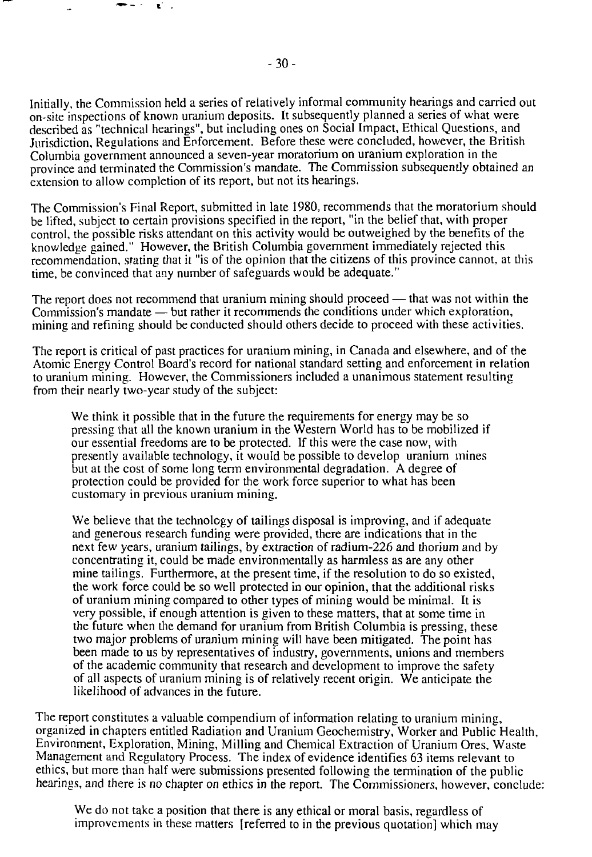Initially, the Commission held a series of relatively informal community hearings and carried out on-site inspections of known uranium deposits. It subsequently planned a series of what were described as "technical hearings", but including ones on Social Impact, Ethical Questions, and Jurisdiction, Regulations and Enforcement. Before these were concluded, however, the British Columbia government announced a seven-year moratorium on uranium exploration in the province and terminated the Commission's mandate. The Commission subsequently obtained an extension to allow completion of its report, but not its hearings.

The Commission's Final Report, submitted in late 1980, recommends that the moratorium should be lifted, subject to certain provisions specified in the report, "in the belief that, with proper control, the possible risks attendant on this activity would be outweighed by the benefits of the knowledge gained." However, the British Columbia government immediately rejected this recommendation, stating that it "is of the opinion that the citizens of this province cannot, at this time, be convinced that any number of safeguards would be adequate."

The report does not recommend that uranium mining should proceed — that was not within the Commission's mandate — but rather it recommends the conditions under which exploration, mining and refining should be conducted should others decide to proceed with these activities.

The report is critical of past practices for uranium mining, in Canada and elsewhere, and of the Atomic Energy Control Board's record for national standard setting and enforcement in relation to uranium mining. However, the Commissioners included a unanimous statement resulting from their nearly two-year study of the subject:

We think it possible that in the future the requirements for energy may be so pressing that all the known uranium in the Western World has to be mobilized if our essential freedoms are to be protected. If this were the case now, with presently available technology, it would be possible to develop uranium mines but at the cost of some long term environmental degradation. A degree of protection could be provided for the work force superior to what has been customary in previous uranium mining.

We believe that the technology of tailings disposal is improving, and if adequate and generous research funding were provided, there are indications that in the next few years, uranium tailings, by extraction of radium-226 and thorium and by concentrating it, could be made environmentally as harmless as are any other mine tailings. Furthermore, at the present time, if the resolution to do so existed, the work force could be so well protected in our opinion, that the additional risks of uranium mining compared to other types of mining would be minimal. It is very possible, if enough attention is given to these matters, that at some time in the future when the demand for uranium from British Columbia is pressing, these two major problems of uranium mining will have been mitigated. The point has been made to us by representatives of industry, governments, unions and members of the academic community that research and development to improve the safety of all aspects of uranium mining is of relatively recent origin. We anticipate the likelihood of advances in the future.

The report constitutes a valuable compendium of information relating to uranium mining, organized in chapters entitled Radiation and Uranium Geochemistry, Worker and Public Health, Environment, Exploration, Mining, Milling and Chemical Extraction of Uranium Ores, Waste Management and Regulatory Process. The index of evidence identifies 63 items relevant to ethics, but more than half were submissions presented following the termination of the public hearings, and there is no chapter on ethics in the report. The Commissioners, however, conclude:

We do not take a position that there is any ethical or moral basis, regardless of improvements in these matters [referred to in the previous quotation] which may

 $\mathbf{C}^{\mathbf{C}}$  .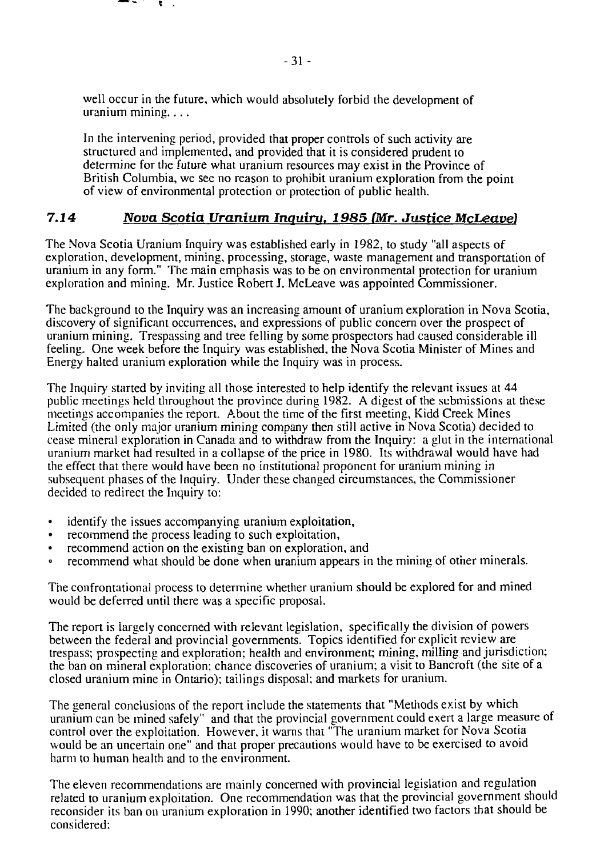well occur in the future, which would absolutely forbid the development of uranium mining....

. . .

In the intervening period, provided that proper controls of such activity are structured and implemented, and provided that it is considered prudent to determine for the future what uranium resources may exist in the Province of British Columbia, we see no reason to prohibit uranium exploration from the point of view of environmental protection or protection of public health.

# **7.14** *Nova Scotia Uranium Inquiry. 1985 (Mr. Justice McLeave)*

The Nova Scotia Uranium Inquiry was established early in 1982, to study "all aspects of exploration, development, mining, processing, storage, waste management and transportation of uranium in any form." The main emphasis was to be on environmental protection for uranium exploration and mining. Mr. Justice Robert J. McLeave was appointed Commissioner.

The background to the Inquiry was an increasing amount of uranium exploration in Nova Scotia, discovery of significant occurrences, and expressions of public concern over the prospect of uranium mining. Trespassing and tree felling by some prospectors had caused considerable ill feeling. One week before the Inquiry was established, the Nova Scotia Minister of Mines and Energy halted uranium exploration while the Inquiry was in process.

The Inquiry started by inviting all those interested to help identify the relevant issues at 44 public meetings held throughout the province during 1982. A digest of the submissions at these meetings accompanies the report. About the time of the first meeting, Kidd Creek Mines Limited (the only major uranium mining company then still active in Nova Scotia) decided to cease mineral exploration in Canada and to withdraw from the Inquiry: a glut in the international uranium market had resulted in a collapse of the price in 1980. Its withdrawal would have had the effect that there would have been no institutional proponent for uranium mining in subsequent phases of the Inquiry. Under these changed circumstances, the Commissioner decided to redirect the Inquiry to:

- identify the issues accompanying uranium exploitation,
- recommend the process leading to such exploitation,
- recommend action on the existing ban on exploration, and
- recommend what should be done when uranium appears in the mining of other minerals.

The confrontational process to determine whether uranium should be explored for and mined would be deferred until there was a specific proposal.

The report is largely concerned with relevant legislation, specifically the division of powers between the federal and provincial governments. Topics identified for explicit review are trespass; prospecting and exploration; health and environment; mining, milling and jurisdiction; the ban on mineral exploration; chance discoveries of uranium; a visit to Bancroft (the site of a closed uranium mine in Ontario); tailings disposal; and markets for uranium.

The general conclusions of the report include the statements that "Methods exist by which uranium can be mined safely" and that the provincial government could exert a large measure of control over the exploitation. However, it warns that "The uranium market for Nova Scotia would be an uncertain one" and that proper precautions would have to be exercised to avoid harm to human health and to the environment.

The eleven recommendations are mainly concerned with provincial legislation and regulation related to uranium exploitation. One recommendation was that the provincial government should reconsider its ban on uranium exploration in 1990; another identified two factors that should be considered: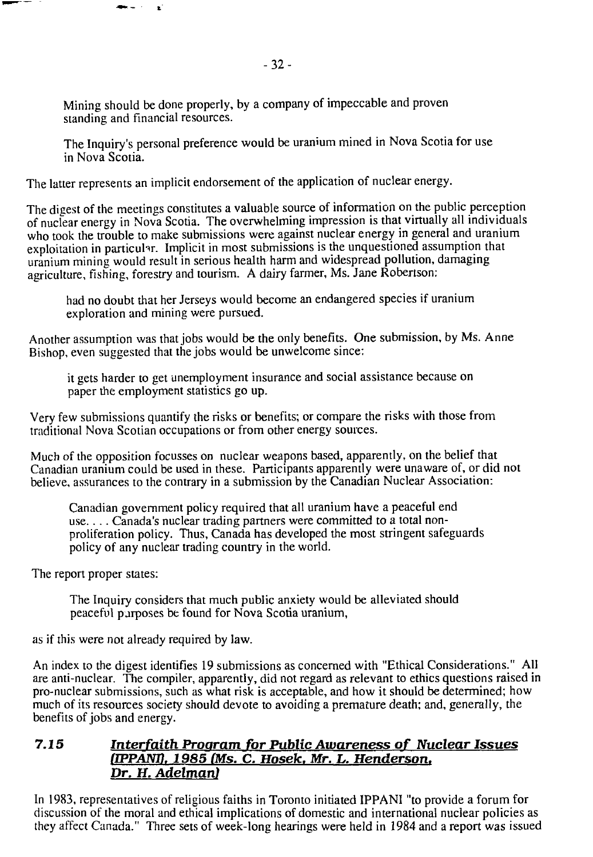Mining should be done properly, by a company of impeccable and proven standing and financial resources.

The Inquiry's personal preference would be uranium mined in Nova Scotia for use in Nova Scotia.

The latter represents an implicit endorsement of the application of nuclear energy.

The digest of the meetings constitutes a valuable source of information on the public perception of nuclear energy in Nova Scotia. The overwhelming impression is that virtually all individuals who took the trouble to make submissions were against nuclear energy in general and uranium exploitation in particular. Implicit in most submissions is the unquestioned assumption that uranium mining would result in serious health harm and widespread pollution, damaging agriculture, fishing, forestry and tourism. A dairy farmer, Ms. Jane Robertson:

had no doubt that her Jerseys would become an endangered species if uranium exploration and mining were pursued.

Another assumption was that jobs would be the only benefits. One submission, by Ms. Anne Bishop, even suggested that the jobs would be unwelcome since:

it gets harder to get unemployment insurance and social assistance because on paper the employment statistics go up.

Very few submissions quantify the risks or benefits; or compare the risks with those from traditional Nova Scotian occupations or from other energy sources.

Much of the opposition focusses on nuclear weapons based, apparently, on the belief that Canadian uranium could be used in these. Participants apparently were unaware of, or did not believe, assurances to the contrary in a submission by the Canadian Nuclear Association:

Canadian government policy required that all uranium have a peaceful end use.... Canada's nuclear trading partners were committed to a total nonproliferation policy. Thus, Canada has developed the most stringent safeguards policy of any nuclear trading country in the world.

The report proper states:

The Inquiry considers that much public anxiety would be alleviated should peaceful purposes be found for Nova Scotia uranium,

as if this were not already required by law.

 $\bullet$  . - E

An index to the digest identifies 19 submissions as concerned with "Ethical Considerations." All are anti-nuclear. The compiler, apparently, did not regard as relevant to ethics questions raised in pro-nuclear submissions, such as what risk is acceptable, and how it should be determined; how much of its resources society should devote to avoiding a premature death; and, generally, the benefits of jobs and energy.

#### **7.15** *Interfaith Program, for Public Awareness of Nuclear Issues (IPPANH. 1985 (Ms.* **C.** *Hosek. Mr. L. Henderson. Dr. H. Adelman)*

In 1983, representatives of religious faiths in Toronto initiated IPPANI "to provide a forum for discussion of the moral and ethical implications of domestic and international nuclear policies as they affect Canada." Three sets of week-long hearings were held in 1984 and a report was issued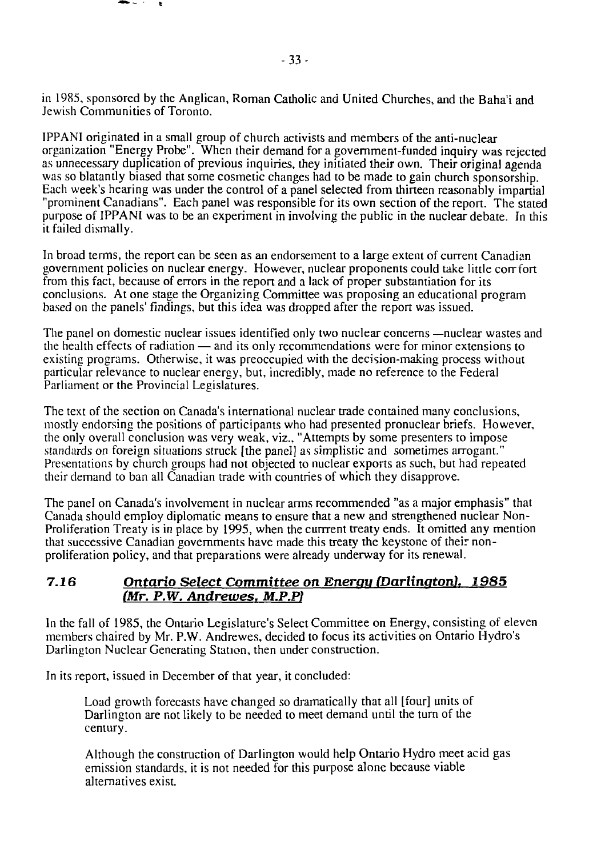in 1985, sponsored by the Anglican, Roman Catholic and United Churches, and the Baha'i and Jewish Communities of Toronto.

IPPANI originated in a small group of church activists and members of the anti-nuclear organization "Energy Probe". When their demand for a government-funded inquiry was rejected as unnecessary duplication of previous inquiries, they initiated their own. Their original agenda was so blatantly biased that some cosmetic changes had to be made to gain church sponsorship. Each week's hearing was under the control of a panel selected from thirteen reasonably impartial "prominent Canadians". Each panel was responsible for its own section of the report. The stated purpose of IPPANI was to be an experiment in involving the public in the nuclear debate. In this it failed dismally.

In broad terms, the report can be seen as an endorsement to a large extent of current Canadian government policies on nuclear energy. However, nuclear proponents could take little corrfort from this fact, because of errors in the report and a lack of proper substantiation for its conclusions. At one stage the Organizing Committee was proposing an educational program based on the panels' findings, but this idea was dropped after the report was issued.

The panel on domestic nuclear issues identified only two nuclear concerns —nuclear wastes and the health effects of radiation — and its only recommendations were for minor extensions to existing programs. Otherwise, it was preoccupied with the decision-making process without particular relevance to nuclear energy, but, incredibly, made no reference to the Federal Parliament or the Provincial Legislatures.

The text of the section on Canada's international nuclear trade contained many conclusions, mostly endorsing the positions of participants who had presented pronuclear briefs. However, the only overall conclusion was very weak, viz., "Attempts by some presenters to impose standards on foreign situations struck [the panel] as simplistic and sometimes arrogant." Presentations by church groups had not objected to nuclear exports as such, but had repeated their demand to ban all Canadian trade with countries of which they disapprove.

The panel on Canada's involvement in nuclear arms recommended "as a major emphasis" that Canada should employ diplomatic means to ensure that a new and strengthened nuclear Non-Proliferation Treaty is in place by 1995, when the currrent treaty ends. It omitted any mention that successive Canadian governments have made this treaty the keystone of their nonproliferation policy, and that preparations were already underway for its renewal.

### **7.16** *Ontario Select Committee on Energy (Darlington). 1985 (Mr. P.W. Andrewes. M.P.P)*

In the fall of 1985, the Ontario Legislature's Select Committee on Energy, consisting of eleven members chaired by Mr. P.W. Andrewes, decided to focus its activities on Ontario Hydro's Darlington Nuclear Generating Station, then under construction.

In its report, issued in December of that year, it concluded:

Load growth forecasts have changed so dramatically that all [four] units of Darlington are not likely to be needed to meet demand until the turn of the century.

Although the construction of Darlington would help Ontario Hydro meet acid gas emission standards, it is not needed for this purpose alone because viable alternatives exist.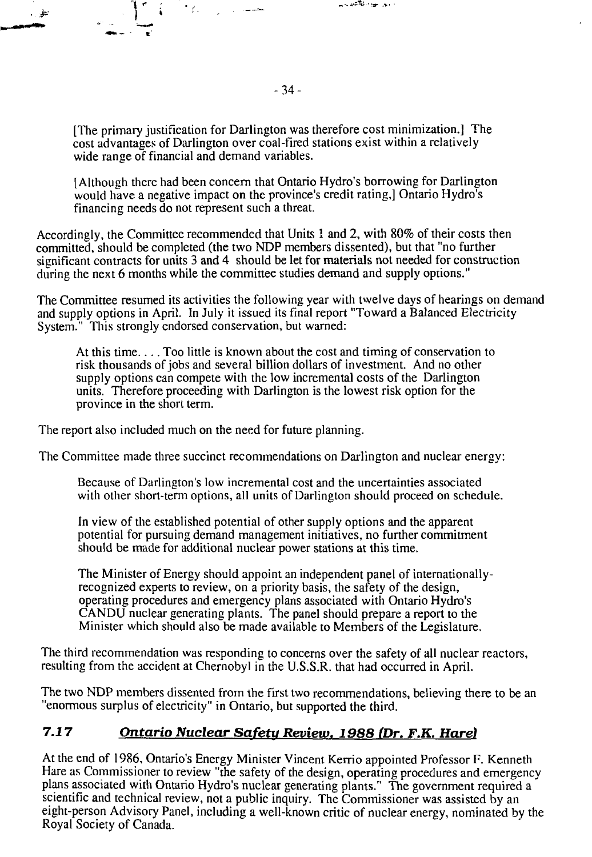[The primary justification for Darlington was therefore cost minimization.] The cost advantages of Darlington over coal-fired stations exist within a relatively wide range of financial and demand variables.

[Although there had been concern that Ontario Hydro's borrowing for Darlington would have a negative impact on the province's credit rating,] Ontario Hydro's financing needs do not represent such a threat.

Accordingly, the Committee recommended that Units 1 and 2, with 80% of their costs then committed, should be completed (the two NDP members dissented), but that "no further significant contracts for units 3 and 4 should be let for materials not needed for construction during the next 6 months while the committee studies demand and supply options."

The Committee resumed its activities the following year with twelve days of hearings on demand and supply options in April. In July it issued its final report "Toward a Balanced Electricity System." This strongly endorsed conservation, but warned:

At this time.... Too little is known about the cost and timing of conservation to risk thousands of jobs and several billion dollars of investment. And no other supply options can compete with the low incremental costs of the Darlington units. Therefore proceeding with Darlington is the lowest risk option for the province in the short term.

The report also included much on the need for future planning.

 $\mathcal{F}(\mathcal{E})$ 

للمستدارة أرازا

The Committee made three succinct recommendations on Darlington and nuclear energy:

Because of Darlington's low incremental cost and the uncertainties associated with other short-term options, all units of Darlington should proceed on schedule.

In view of the established potential of other supply options and the apparent potential for pursuing demand management initiatives, no further commitment should be made for additional nuclear power stations at this time.

The Minister of Energy should appoint an independent panel of internationallyrecognized experts to review, on a priority basis, the safety of the design, operating procedures and emergency plans associated with Ontario Hydro's CANDU nuclear generating plants. The panel should prepare a report to the Minister which should also be made available to Members of the Legislature.

The third recommendation was responding to concerns over the safety of all nuclear reactors, resulting from the accident at Chernobyl in the U.S.S.R. that had occurred in April.

The two NDP members dissented from the first two recommendations, believing there to be an "enormous surplus of electricity" in Ontario, but supported the third.

# **7.17** *Ontario Nuclear Safetu Review. 1988 (Dr. F.K. Hare)*

At the end of 1986, Ontario's Energy Minister Vincent Kerrio appointed Professor F. Kenneth Hare as Commissioner to review "the safety of the design, operating procedures and emergency plans associated with Ontario Hydro's nuclear generating plants." The government required a scientific and technical review, not a public inquiry. The Commissioner was assisted by an eight-person Advisory Panel, including a well-known critic of nuclear energy, nominated by the Royal Society of Canada.

والمراوح والمتلكك بالبوا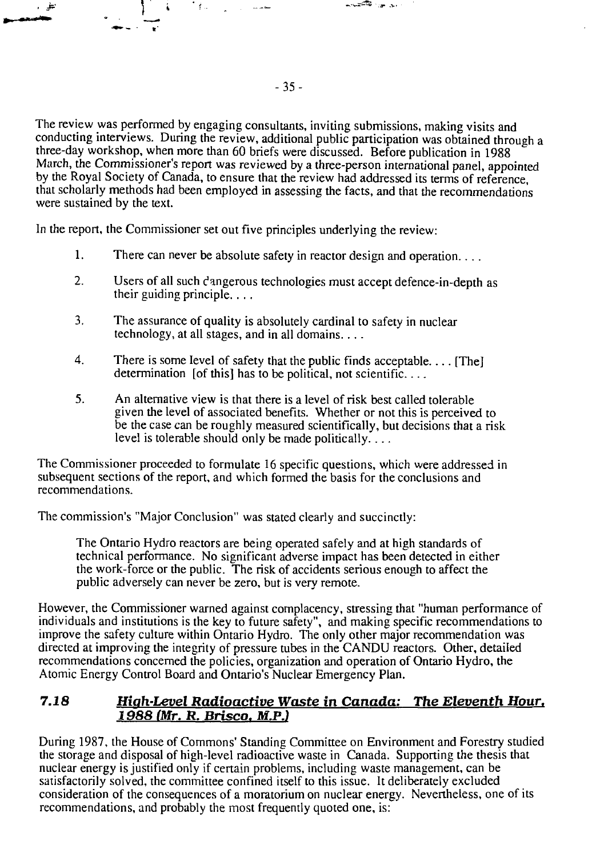The review was performed by engaging consultants, inviting submissions, making visits and conducting interviews. During the review, additional public participation was obtained through a three-day workshop, when more than 60 briefs were discussed. Before publication in 1988 March, the Commissioner's report was reviewed by a three-person international panel, appointed by the Royal Society of Canada, to ensure that the review had addressed its terms of reference, that scholarly methods had been employed in assessing the facts, and that the recommendations were sustained by the text.

In the report, the Commissioner set out five principles underlying the review:

 $^{\circ}$  for

 $\mathbf{i}$ 

≓د ،

- 1. There can never be absolute safety in reactor design and operation...
- 2. Users of all such dangerous technologies must accept defence-in-depth as their guiding principle.. ..
- 3. The assurance of quality is absolutely cardinal to safety in nuclear technology, at all stages, and in all domains....
- 4. There is some level of safety that the public finds acceptable... [The] determination [of this] has to be political, not scientific....
- 5. An alternative view is that there is a level of risk best called tolerable given the level of associated benefits. Whether or not this is perceived to be the case can be roughly measured scientifically, but decisions that a risk level is tolerable should only be made politically....

The Commissioner proceeded to formulate 16 specific questions, which were addressed in subsequent sections of the report, and which formed the basis for the conclusions and recommendations.

The commission's "Major Conclusion" was stated clearly and succinctly:

The Ontario Hydro reactors are being operated safely and at high standards of technical performance. No significant adverse impact has been detected in either the work-force or the public. The risk of accidents serious enough to affect the public adversely can never be zero, but is very remote.

However, the Commissioner warned against complacency, stressing that "human performance of individuals and institutions is the key to future safety", and making specific recommendations to improve the safety culture within Ontario Hydro. The only other major recommendation was directed at improving the integrity of pressure tubes in the CANDU reactors. Other, detailed recommendations concerned the policies, organization and operation of Ontario Hydro, the Atomic Energy Control Board and Ontario's Nuclear Emergency Plan.

# **7.18** *Hiah-Level Radioactive Waste in Canada:* **The** *Eleventh Hour, 1988 (Mr. R. Brisco. M.P.)*

During 1987, the House of Commons' Standing Committee on Environment and Forestry studied the storage and disposal of high-level radioactive waste in Canada. Supporting the thesis that nuclear energy is justified only if certain problems, including waste management, can be satisfactorily solved, the committee confined itself to this issue. It deliberately excluded consideration of the consequences of a moratorium on nuclear energy. Nevertheless, one of its recommendations, and probably the most frequently quoted one, is:

ستعامل

بالمراجين فكالتصيب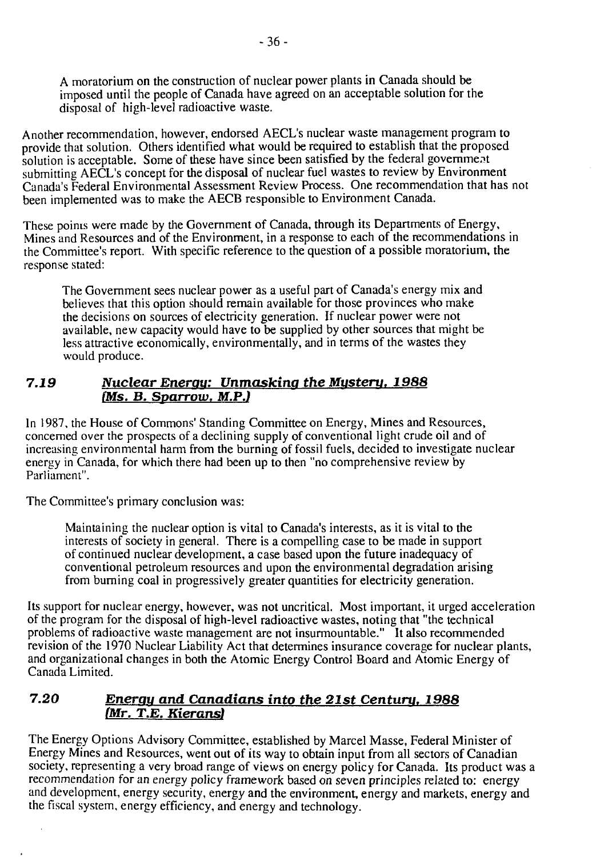A moratorium on the construction of nuclear power plants in Canada should be imposed until the people of Canada have agreed on an acceptable solution for the disposal of high-level radioactive waste.

Another recommendation, however, endorsed AECL's nuclear waste management program to provide that solution. Others identified what would be required to establish that the proposed solution is acceptable. Some of these have since been satisfied by the federal government submitting AECL's concept for the disposal of nuclear fuel wastes to review by Environment Canada's Federal Environmental Assessment Review Process. One recommendation that has not been implemented was to make the AECB responsible to Environment Canada.

These points were made by the Government of Canada, through its Departments of Energy, Mines and Resources and of the Environment, in a response to each of the recommendations in the Committee's report. With specific reference to the question of a possible moratorium, the response stated:

The Government sees nuclear power as a useful part of Canada's energy mix and believes that this option should remain available for those provinces who make the decisions on sources of electricity generation. If nuclear power were not available, new capacity would have to be supplied by other sources that might be less attractive economically, environmentally, and in terms of the wastes they would produce.

# **7.19** *Nuclear Enerau: Unmasking the Mystery. 1988 (Ms. B. Sparrow, M.P.)*

In 1987, the House of Commons' Standing Committee on Energy, Mines and Resources, concerned over the prospects of a declining supply of conventional light crude oil and of increasing environmental harm from the burning of fossil fuels, decided to investigate nuclear energy in Canada, for which there had been up to then "no comprehensive review by Parliament".

The Committee's primary conclusion was:

Maintaining the nuclear option is vital to Canada's interests, as it is vital to the interests of society in general. There is a compelling case to be made in support of continued nuclear development, a case based upon the future inadequacy of conventional petroleum resources and upon the environmental degradation arising from burning coal in progressively greater quantities for electricity generation.

Its support for nuclear energy, however, was not uncritical. Most important, it urged acceleration of the program for the disposal of high-level radioactive wastes, noting that "the technical problems of radioactive waste management are not insurmountable." It also recommended revision of the 1970 Nuclear Liability Act that determines insurance coverage for nuclear plants, and organizational changes in both the Atomic Energy Control Board and Atomic Energy of Canada Limited.

### **7.20** *Enerau and Canadians into the 21st Century. 1988 (Mr. T.E. Kierans)*

The Energy Options Advisory Committee, established by Marcel Masse, Federal Minister of Energy Mines and Resources, went out of its way to obtain input from all sectors of Canadian society, representing a very broad range of views on energy policy for Canada. Its product was a recommendation for an energy policy framework based on seven principles related to: energy and development, energy security, energy and the environment, energy and markets, energy and the fiscal system, energy efficiency, and energy and technology.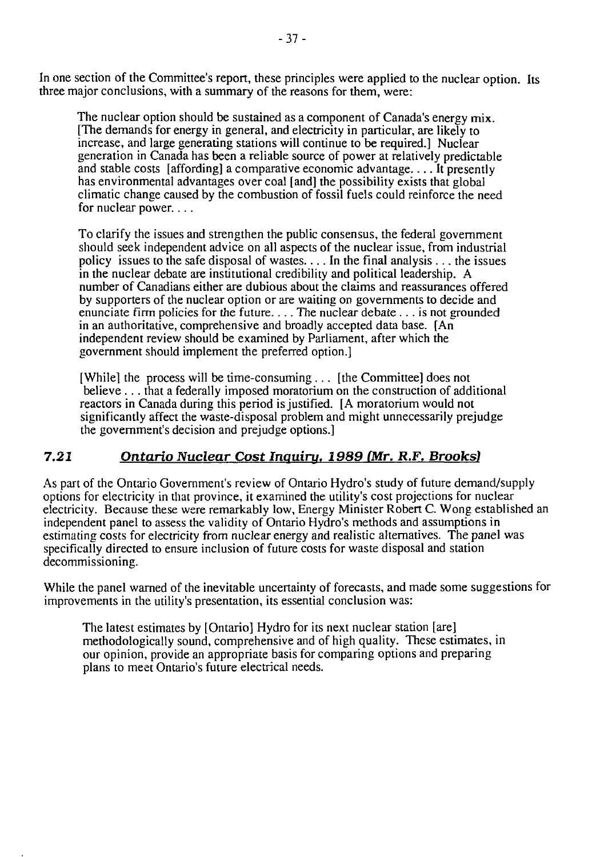In one section of the Committee's report, these principles were applied to the nuclear option. Its three major conclusions, with a summary of the reasons for them, were:

The nuclear option should be sustained as a component of Canada's energy mix. [The demands for energy in general, and electricity in particular, are likely to increase, and large generating stations will continue to be required.] Nuclear generation in Canada has been a reliable source of power at relatively predictable and stable costs [affording] a comparative economic advantage.... It presently has environmental advantages over coal [and] the possibility exists that global climatic change caused by the combustion of fossil fuels could reinforce the need for nuclear power....

To clarify the issues and strengthen the public consensus, the federal government should seek independent advice on all aspects of the nuclear issue, from industrial policy issues to the safe disposal of wastes.... In the final analysis .. . the issues in the nuclear debate are institutional credibility and political leadership. A number of Canadians either are dubious about the claims and reassurances offered by supporters of the nuclear option or are waiting on governments to decide and enunciate firm policies for the future.... The nuclear debate... is not grounded in an authoritative, comprehensive and broadly accepted data base. [An] independent review should be examined by Parliament, after which the government should implement the preferred option.]

[While] the process will be time-consuming ... [the Committee] does not believe .. . that a federally imposed moratorium on the construction of additional reactors in Canada during this period is justified. [A moratorium would not significantly affect the waste-disposal problem and might unnecessarily prejudge the government's decision and prejudge options.]

# *7.21 Ontario Nuclear Cost Inquiry. 1989 (Mr. R.F. Brooks!*

As part of the Ontario Government's review of Ontario Hydro's study of future demand/supply options for electricity in that province, it examined the utility's cost projections for nuclear electricity. Because these were remarkably low, Energy Minister Robert C. Wong established an independent panel to assess the validity of Ontario Hydro's methods and assumptions in estimating costs for electricity from nuclear energy and realistic alternatives. The panel was specifically directed to ensure inclusion of future costs for waste disposal and station decommissioning.

While the panel warned of the inevitable uncertainty of forecasts, and made some suggestions for improvements in the utility's presentation, its essential conclusion was:

The latest estimates by [Ontario] Hydro for its next nuclear station [are] methodologically sound, comprehensive and of high quality. These estimates, in our opinion, provide an appropriate basis for comparing options and preparing plans to meet Ontario's future electrical needs.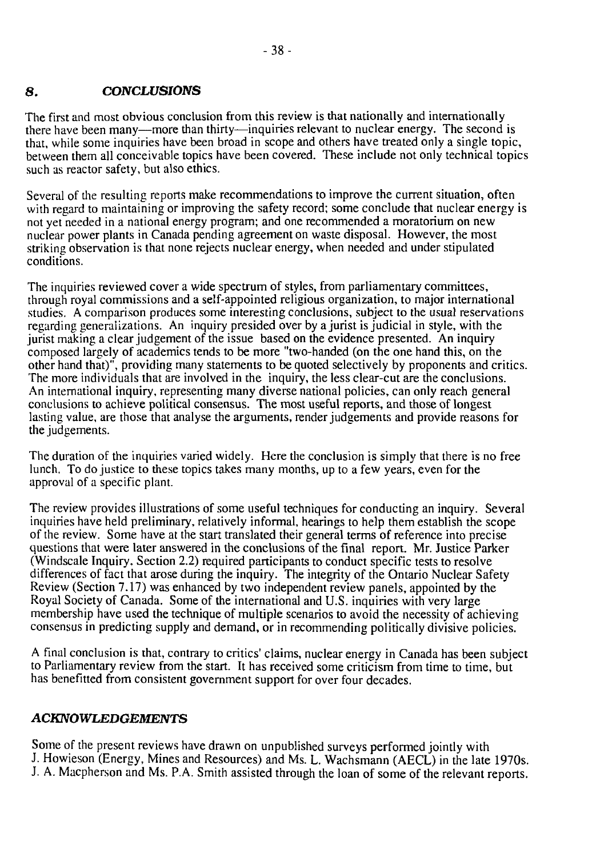# **8.** *CONCLUSIONS*

The first and most obvious conclusion from this review is that nationally and internationally there have been many—more than thirty—inquiries relevant to nuclear energy. The second is that, while some inquiries have been broad in scope and others have treated only a single topic, between them all conceivable topics have been covered. These include not only technical topics such as reactor safety, but also ethics.

Several of the resulting reports make recommendations to improve the current situation, often with regard to maintaining or improving the safety record; some conclude that nuclear energy is not yet needed in a national energy program; and one recommended a moratorium on new nuclear power plants in Canada pending agreement on waste disposal. However, the most striking observation is that none rejects nuclear energy, when needed and under stipulated conditions.

The inquiries reviewed cover a wide spectrum of styles, from parliamentary committees, through royal commissions and a self-appointed religious organization, to major international studies. A comparison produces some interesting conclusions, subject to the usual reservations regarding generalizations. An inquiry presided over by a jurist is judicial in style, with the jurist making a clear judgement of the issue based on the evidence presented. An inquiry composed largely of academics tends to be more "two-handed (on the one hand this, on the other hand that)", providing many statements to be quoted selectively by proponents and critics. The more individuals that are involved in the inquiry, the less clear-cut are the conclusions. An international inquiry, representing many diverse national policies, can only reach general conclusions to achieve political consensus. The most useful reports, and those of longest lasting value, are those that analyse the arguments, render judgements and provide reasons for the judgements.

The duration of the inquiries varied widely. Here the conclusion is simply that there is no free lunch. To do justice to these topics takes many months, up to a few years, even for the approval of a specific plant.

The review provides illustrations of some useful techniques for conducting an inquiry. Several inquiries have held preliminary, relatively informal, hearings to help them establish the scope of the review. Some have at the start translated their general terms of reference into precise questions that were later answered in the conclusions of the final report. Mr. Justice Parker (Windscale Inquiry, Section 2.2) required participants to conduct specific tests to resolve differences of fact that arose during the inquiry. The integrity of the Ontario Nuclear Safety Review (Section 7.17) was enhanced by two independent review panels, appointed by the Royal Society of Canada. Some of the international and U.S. inquiries with very large membership have used the technique of multiple scenarios to avoid the necessity of achieving consensus in predicting supply and demand, or in recommending politically divisive policies.

A final conclusion is that, contrary to critics' claims, nuclear energy in Canada has been subject to Parliamentary review from the start. It has received some criticism from time to time, but has benefitted from consistent government support for over four decades.

# *ACKNOWLEDGEMENTS*

Some of the present reviews have drawn on unpublished surveys performed jointly with J. Howieson (Energy, Mines and Resources) and Ms. L. Wachsmann (AECL) in the late 1970s. J. A. Macpherson and Ms. P.A. Smith assisted through the loan of some of the relevant reports.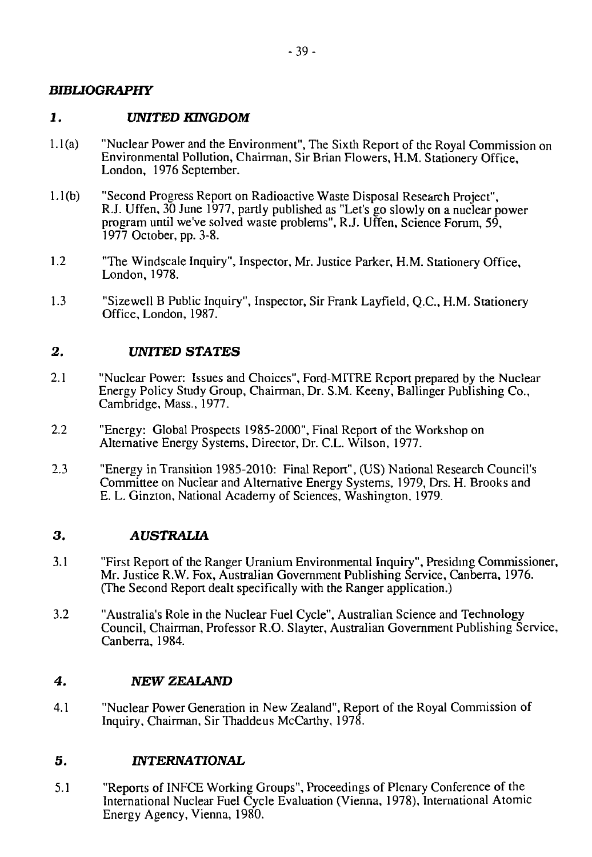## *BIBUOGRAPHY*

# *1. UNITED KINGDOM*

- 1.1 (a) "Nuclear Power and the Environment", The Sixth Report of the Royal Commission on Environmental Pollution, Chairman, Sir Brian Flowers, H.M. Stationery Office, London, 1976 September.
- 1. l(b) "Second Progress Report on Radioactive Waste Disposal Research Project", R.J. Uffen, 30 June 1977, partly published as "Let's go slowly on a nuclear power program until we've solved waste problems", R.J. Uffen, Science Forum, 59, 1977 October, pp. 3-8.
- 1.2 "The Windscale Inquiry", Inspector, Mr. Justice Parker, H.M. Stationery Office, London,1978.
- 1.3 "Sizewell B Public Inquiry", Inspector, Sir Frank Layfield, Q.C., H.M. Stationery Office, London, 1987.

#### *2. UNITED STATES*

- 2.1 "Nuclear Power: Issues and Choices", Ford-MITRE Report prepared by the Nuclear Energy Policy Study Group, Chairman, Dr. S.M. Keeny, Ballinger Publishing Co., Cambridge, Mass., 1977.
- 2.2 "Energy: Global Prospects 1985-2000", Final Report of the Workshop on Alternative Energy Systems, Director, Dr. C.L. Wilson, 1977.
- 2.3 "Energy in Transition 1985-2010: Final Report", (US) National Research Council's Committee on Nuclear and Alternative Energy Systems, 1979, Drs. H. Brooks and E. L. Ginzton, National Academy of Sciences, Washington, 1979.

#### **3 . AUSTRALIA**

- 3.1 "First Report of the Ranger Uranium Environmental Inquiry", Presiding Commissioner, Mr. Justice R.W. Fox, Australian Government Publishing Service, Canberra, 1976. (The Second Report dealt specifically with the Ranger application.)
- 3.2 "Australia's Role in the Nuclear Fuel Cycle", Australian Science and Technology Council, Chairman, Professor R.O. Slayter, Australian Government Publishing Service, Canberra, 1984.

#### *4. NEW ZEALAND*

4.1 "Nuclear Power Generation in New Zealand", Report of the Royal Commission of Inquiry, Chairman, SirThaddeus McCarthy, 1978.

#### **5.** *INTERNATIONAL*

5.1 "Reports of INFCE Working Groups", Proceedings of Plenary Conference of the International Nuclear Fuel Cycle Evaluation (Vienna, 1978), International Atomic Energy Agency, Vienna, 1980.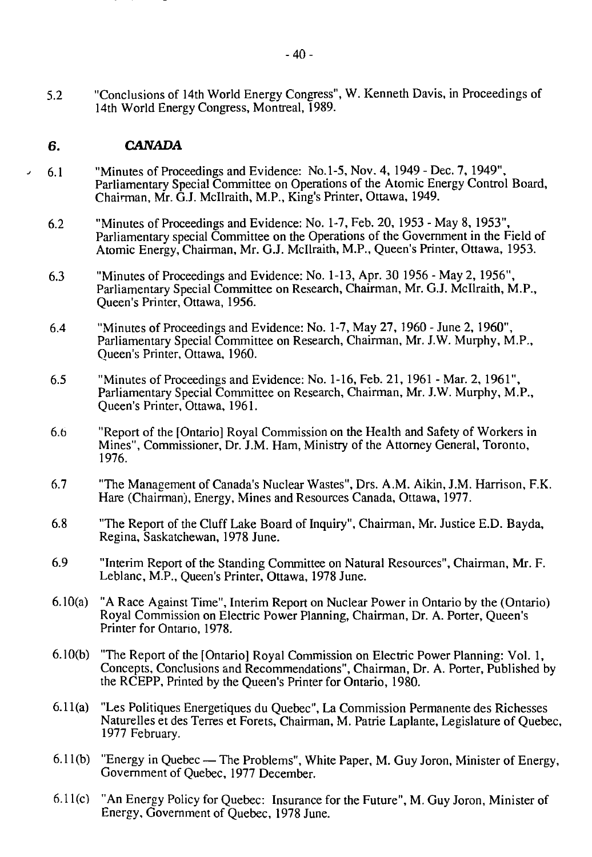#### **6.** *CANADA*

- 6.1 "Minutes of Proceedings and Evidence: No. 1-5, Nov. 4, 1949 Dec. 7, 1949", Parliamentary Special Committee on Operations of the Atomic Energy Control Board, Chairman, Mr. G.J. Mcllraith, M.P., King's Printer, Ottawa, 1949.
	- 6.2 "Minutes of Proceedings and Evidence: No. 1-7, Feb. 20, 1953 May 8,1953", Parliamentary special Committee on the Operations of the Government in the Field of Atomic Energy, Chairman, Mr. G.J. Mcllraith, M.P., Queen's Printer, Ottawa, 1953.
	- 6.3 "Minutes of Proceedings and Evidence: No. 1-13, Apr. 30 1956 May 2, 1956", Parliamentary Special Committee on Research, Chairman, Mr. G.J. Mcllraith, M.P., Queen's Printer, Ottawa, 1956.
	- 6.4 "Minutes of Proceedings and Evidence: No. 1-7, May 27, 1960 June 2, 1960", Parliamentary Special Committee on Research, Chairman, Mr. J.W. Murphy, M.P., Queen's Printer, Ottawa, 1960.
	- 6.5 "Minutes of Proceedings and Evidence: No. 1-16, Feb. 21, 1961 Mar. 2, 1961", Parliamentary Special Committee on Research, Chairman, Mr. J.W. Murphy, M.P., Queen's Printer, Ottawa, 1961.
	- 6.6 "Report of the [Ontario] Royal Commission on the Health and Safety of Workers in Mines", Commissioner, Dr. J.M. Ham, Ministry of the Attorney General, Toronto, 1976.
	- 6.7 "The Management of Canada's Nuclear Wastes", Drs. A.M. Aikin, J.M. Harrison, F.K. Hare (Chairman), Energy, Mines and Resources Canada, Ottawa, 1977.
	- 6.8 "The Report of the Cluff Lake Board of Inquiry", Chairman, Mr. Justice E.D. Bayda, Regina, Saskatchewan, 1978 June.
	- 6.9 "Interim Report of the Standing Committee on Natural Resources", Chairman, Mr. F. Leblanc, M.P., Queen's Printer, Ottawa, 1978 June.
	- 6.10(a) "A Race Against Time", Interim Report on Nuclear Power in Ontario by the (Ontario) Royal Commission on Electric Power Planning, Chairman, Dr. A. Porter, Queen's Printer for Ontario, 1978.
	- 6.10(b) "The Report of the [Ontario] Royal Commission on Electric Power Planning: Vol. 1, Concepts, Conclusions and Recommendations", Chairman, Dr. A. Porter, Published by the RCEPP, Printed by the Queen's Printer for Ontario, 1980.
	- 6.11 (a) "Les Politiques Energetiques du Quebec", La Commission Permanente des Richesses Naturelles et des Terres et Forets, Chairman, M. Patrie Laplante, Legislature of Quebec, 1977 February.
	- 6.1 l(b) "Energy in Quebec The Problems", White Paper, M. Guy Joron, Minister of Energy, Government of Quebec, 1977 December.
	- 6.11 (c) "An Energy Policy for Quebec: Insurance for the Future", M. Guy Joron, Minister of Energy, Government of Quebec, 1978 June.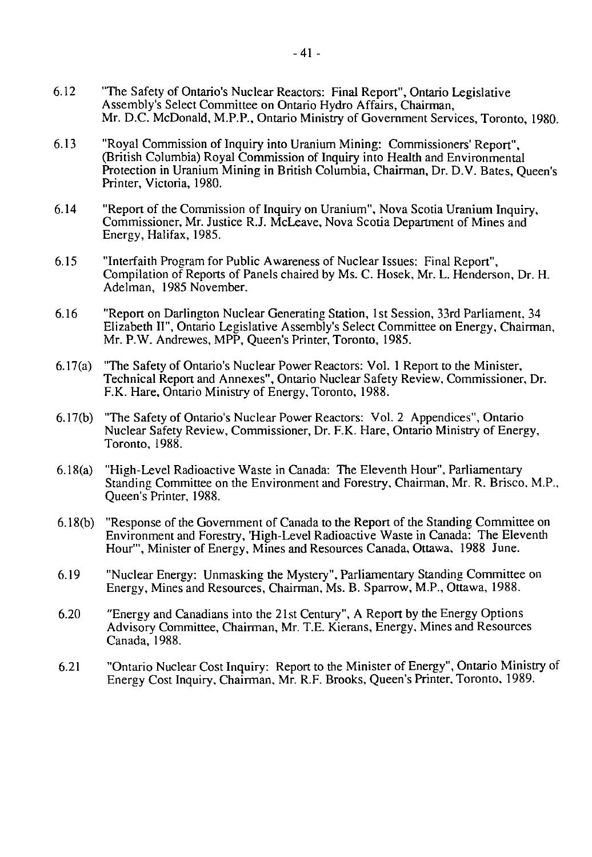- 6.12 "The Safety of Ontario's Nuclear Reactors: Final Report", Ontario Legislative Assembly's Select Committee on Ontario Hydro Affairs, Chairman, Mr. D.C. McDonald, M.P.P., Ontario Ministry of Government Services, Toronto, 1980.
- 6.13 "Royal Commission of Inquiry into Uranium Mining: Commissioners' Report", (British Columbia) Royal Commission of Inquiry into Health and Environmental Protection in Uranium Mining in British Columbia, Chairman, Dr. D.V. Bates, Queen's Printer, Victoria, 1980.
- 6.14 "Report of the Commission of Inquiry on Uranium", Nova Scotia Uranium Inquiry, Commissioner, Mr. Justice R.J. McLeave, Nova Scotia Department of Mines and Energy, Halifax, 1985.
- 6.15 "Interfaith Program for Public Awareness of Nuclear Issues: Final Report", Compilation of Reports of Panels chaired by Ms. C. Hosek, Mr. L. Henderson, Dr. H. Adelman, 1985 November.
- 6.16 "Report on Darlington Nuclear Generating Station, 1st Session, 33rd Parliament, 34 Elizabeth II", Ontario Legislative Assembly's Select Committee on Energy, Chairman, Mr. P.W. Andrewes, MPP, Queen's Printer, Toronto, 1985.
- 6.17(a) "The Safety of Ontario's Nuclear Power Reactors: Vol. 1 Report to the Minister, Technical Report and Annexes", Ontario Nuclear Safety Review, Commissioner, Dr. F.K. Hare, Ontario Ministry of Energy, Toronto, 1988.
- 6.17(b) "The Safety of Ontario's Nuclear Power Reactors: Vol.2 Appendices", Ontario Nuclear Safety Review, Commissioner, Dr. F.K. Hare, Ontario Ministry of Energy, Toronto, 1988.
- 6.18(a) "High-Level Radioactive Waste in Canada: The Eleventh Hour", Parliamentary Standing Committee on the Environment and Forestry, Chairman, Mr. R. Brisco, M.P., Queen's Printer, 1988.
- 6.18(b) "Response of the Government of Canada to the Report of the Standing Committee on Environment and Forestry, 'High-Level Radioactive Waste in Canada: The Eleventh Hour'", Minister of Energy, Mines and Resources Canada, Ottawa. 1988 June.
- 6.19 "Nuclear Energy: Unmasking the Mystery", Parliamentary Standing Committee on Energy, Mines and Resources, Chairman, Ms. B. Sparrow, M.P., Ottawa, 1988.
- 6.20 "Energy and Canadians into the 21st Century", A Report by the Energy Options Advisory Committee, Chairman, Mr. T.E. Kierans, Energy, Mines and Resources Canada, 1988.
- 6.21 "Ontario Nuclear Cost Inquiry: Report to the Minister of Energy", Ontario Ministry of Energy Cost Inquiry, Chairman, Mr. R.F. Brooks, Queen's Printer, Toronto, 1989.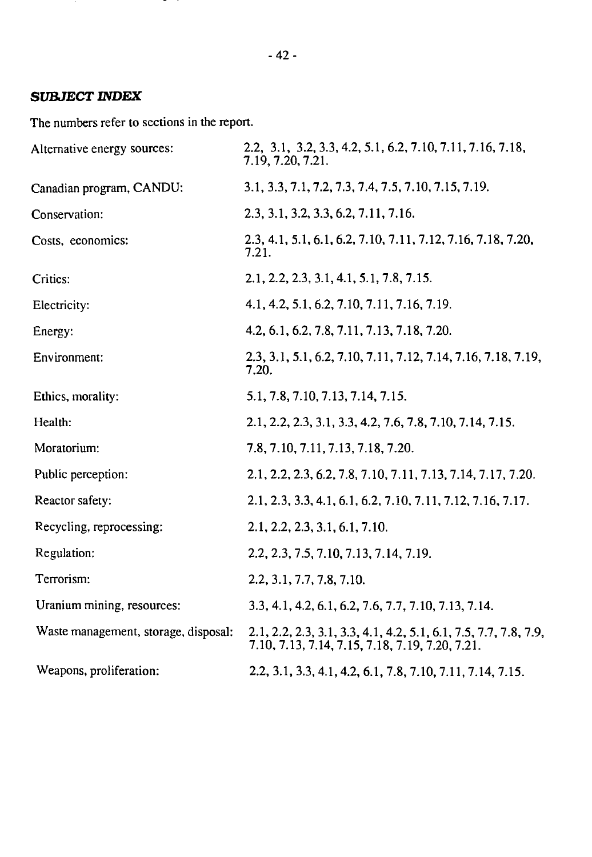# *SUBJECT INDEX*

The numbers refer to sections in the report.

| Alternative energy sources:          | 2.2, 3.1, 3.2, 3.3, 4.2, 5.1, 6.2, 7.10, 7.11, 7.16, 7.18,<br>7.19, 7.20, 7.21.                                     |
|--------------------------------------|---------------------------------------------------------------------------------------------------------------------|
| Canadian program, CANDU:             | 3.1, 3.3, 7.1, 7.2, 7.3, 7.4, 7.5, 7.10, 7.15, 7.19.                                                                |
| Conservation:                        | 2.3, 3.1, 3.2, 3.3, 6.2, 7.11, 7.16.                                                                                |
| Costs, economics:                    | 2.3, 4.1, 5.1, 6.1, 6.2, 7.10, 7.11, 7.12, 7.16, 7.18, 7.20,<br>7.21.                                               |
| Critics:                             | 2.1, 2.2, 2.3, 3.1, 4.1, 5.1, 7.8, 7.15.                                                                            |
| Electricity:                         | 4.1, 4.2, 5.1, 6.2, 7.10, 7.11, 7.16, 7.19.                                                                         |
| Energy:                              | 4.2, 6.1, 6.2, 7.8, 7.11, 7.13, 7.18, 7.20.                                                                         |
| Environment:                         | 2.3, 3.1, 5.1, 6.2, 7.10, 7.11, 7.12, 7.14, 7.16, 7.18, 7.19,<br>7.20.                                              |
| Ethics, morality:                    | 5.1, 7.8, 7.10, 7.13, 7.14, 7.15.                                                                                   |
| Health:                              | 2.1, 2.2, 2.3, 3.1, 3.3, 4.2, 7.6, 7.8, 7.10, 7.14, 7.15.                                                           |
| Moratorium:                          | 7.8, 7.10, 7.11, 7.13, 7.18, 7.20.                                                                                  |
| Public perception:                   | 2.1, 2.2, 2.3, 6.2, 7.8, 7.10, 7.11, 7.13, 7.14, 7.17, 7.20.                                                        |
| Reactor safety:                      | 2.1, 2.3, 3.3, 4.1, 6.1, 6.2, 7.10, 7.11, 7.12, 7.16, 7.17.                                                         |
| Recycling, reprocessing:             | 2.1, 2.2, 2.3, 3.1, 6.1, 7.10.                                                                                      |
| Regulation:                          | 2.2, 2.3, 7.5, 7.10, 7.13, 7.14, 7.19.                                                                              |
| Terrorism:                           | 2.2, 3.1, 7.7, 7.8, 7.10.                                                                                           |
| Uranium mining, resources:           | 3.3, 4.1, 4.2, 6.1, 6.2, 7.6, 7.7, 7.10, 7.13, 7.14.                                                                |
| Waste management, storage, disposal: | 2.1, 2.2, 2.3, 3.1, 3.3, 4.1, 4.2, 5.1, 6.1, 7.5, 7.7, 7.8, 7.9,<br>7.10, 7.13, 7.14, 7.15, 7.18, 7.19, 7.20, 7.21. |
| Weapons, proliferation:              | 2.2, 3.1, 3.3, 4.1, 4.2, 6.1, 7.8, 7.10, 7.11, 7.14, 7.15.                                                          |